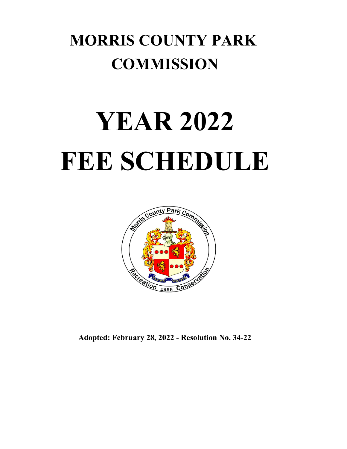## **MORRIS COUNTY PARK COMMISSION**

# **YEAR 2022 FEE SCHEDULE**



**Adopted: February 28, 2022 - Resolution No. 34-22**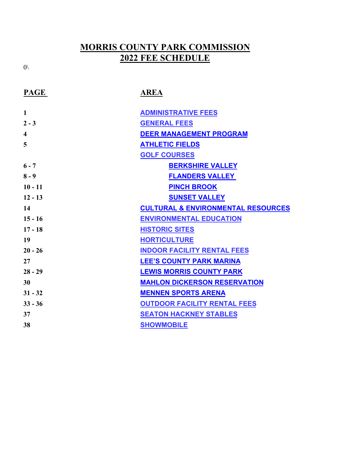### **2022 FEE SCHEDULE MORRIS COUNTY PARK COMMISSION**

| <b>PAGE</b>  | <b>AREA</b>                                   |
|--------------|-----------------------------------------------|
| $\mathbf{1}$ | <b>ADMINISTRATIVE FEES</b>                    |
| $2 - 3$      | <b>GENERAL FEES</b>                           |
| 4            | <b>DEER MANAGEMENT PROGRAM</b>                |
| 5            | <b>ATHLETIC FIELDS</b>                        |
|              | <b>GOLF COURSES</b>                           |
| $6 - 7$      | <b>BERKSHIRE VALLEY</b>                       |
| $8 - 9$      | <b>FLANDERS VALLEY</b>                        |
| $10 - 11$    | <b>PINCH BROOK</b>                            |
| $12 - 13$    | <b>SUNSET VALLEY</b>                          |
| 14           | <b>CULTURAL &amp; ENVIRONMENTAL RESOURCES</b> |
| $15 - 16$    | <b>ENVIRONMENTAL EDUCATION</b>                |
| $17 - 18$    | <b>HISTORIC SITES</b>                         |
| 19           | <b>HORTICULTURE</b>                           |
| $20 - 26$    | <b>INDOOR FACILITY RENTAL FEES</b>            |
| 27           | <b>LEE'S COUNTY PARK MARINA</b>               |
| $28 - 29$    | <b>LEWIS MORRIS COUNTY PARK</b>               |
| 30           | <b>MAHLON DICKERSON RESERVATION</b>           |
| $31 - 32$    | <b>MENNEN SPORTS ARENA</b>                    |
| $33 - 36$    | <b>OUTDOOR FACILITY RENTAL FEES</b>           |
| 37           | <b>SEATON HACKNEY STABLES</b>                 |
| 38           | <b>SHOWMOBILE</b>                             |

 $0\backslash$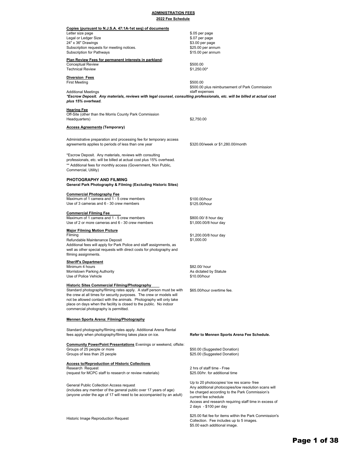### **ADMINISTRATION FEES**

|  |  |  | 2022 Fee Schedule |
|--|--|--|-------------------|
|--|--|--|-------------------|

| Copies (pursuant to N.J.S.A. 47:1A-1et seq) of documents                                                                                       |                                                                                                   |
|------------------------------------------------------------------------------------------------------------------------------------------------|---------------------------------------------------------------------------------------------------|
| Letter size page                                                                                                                               | \$.05 per page                                                                                    |
| Legal or Ledger Size                                                                                                                           | \$.07 per page                                                                                    |
| 24" x 36" Drawings                                                                                                                             | \$3.00 per page                                                                                   |
| Subscription requests for meeting notices.                                                                                                     | \$25.00 per annum                                                                                 |
| Subscription for Pathways                                                                                                                      | \$15.00 per annum                                                                                 |
| <u>Plan Review Fees for permanent interests in parkland:</u>                                                                                   |                                                                                                   |
| Conceptual Review                                                                                                                              | \$500.00                                                                                          |
| Technical Review                                                                                                                               | $$1,250.00*$                                                                                      |
| Diversion Fees                                                                                                                                 |                                                                                                   |
| First Meeting                                                                                                                                  | \$500.00                                                                                          |
|                                                                                                                                                | \$500.00 plus reimbursement of Park Commission                                                    |
| Additional Meetings                                                                                                                            | staff expenses                                                                                    |
| *Escrow Deposit. Any materials, reviews with legal counsel, consulting professionals, etc. will be billed at actual cost<br>plus 15% overhead. |                                                                                                   |
|                                                                                                                                                |                                                                                                   |
| <u>Hearing Fee</u>                                                                                                                             |                                                                                                   |
| Off-Site (other than the Morris County Park Commission                                                                                         |                                                                                                   |
| Headquarters)                                                                                                                                  | \$2,750.00                                                                                        |
| <b>Access Agreements (Temporary)</b>                                                                                                           |                                                                                                   |
|                                                                                                                                                |                                                                                                   |
| Administrative preparation and processing fee for temporary access                                                                             |                                                                                                   |
| agreements applies to periods of less than one year                                                                                            | \$320.00/week or \$1,280.00/month                                                                 |
|                                                                                                                                                |                                                                                                   |
| *Escrow Deposit.  Any materials, reviews with consulting                                                                                       |                                                                                                   |
| professionals, etc. will be billed at actual cost plus 15% overhead.                                                                           |                                                                                                   |
| ** Additional fees for monthly access (Government, Non Public,                                                                                 |                                                                                                   |
| Commercial, Utility)                                                                                                                           |                                                                                                   |
|                                                                                                                                                |                                                                                                   |
| PHOTOGRAPHY AND FILMING                                                                                                                        |                                                                                                   |
| General Park Photography & Filming (Excluding Historic Sites)                                                                                  |                                                                                                   |
| Commercial Photography Fee                                                                                                                     |                                                                                                   |
| Maximum of 1 camera and 1 - 5 crew members                                                                                                     | \$100.00/hour                                                                                     |
| Use of 3 cameras and 6 - 30 crew members                                                                                                       | \$125.00/hour                                                                                     |
|                                                                                                                                                |                                                                                                   |
| Commercial Filming Fee<br>Maximum of 1 camera and 1 - 5 crew members                                                                           |                                                                                                   |
| Use of 2 or more cameras and 6 - 30 crew members                                                                                               | \$800.00/ 8 hour day<br>\$1,000.00/8 hour day                                                     |
|                                                                                                                                                |                                                                                                   |
| <b>Major Filming Motion Picture</b>                                                                                                            |                                                                                                   |
| Filming                                                                                                                                        | \$1,200.00/8 hour day<br>\$1,000.00                                                               |
| Refundable Maintenance Deposit<br>Additional fees will apply for Park Police and staff assignments, as                                         |                                                                                                   |
| well as other special requests with direct costs for photography and                                                                           |                                                                                                   |
| filming assignments.                                                                                                                           |                                                                                                   |
|                                                                                                                                                |                                                                                                   |
| Sheriff's Department<br>Minimum 4 hours                                                                                                        | \$82.00/ hour                                                                                     |
| Morristown Parking Authority                                                                                                                   | As dictated by Statute                                                                            |
| Use of Police Vehicle                                                                                                                          | \$10.00/hour                                                                                      |
|                                                                                                                                                |                                                                                                   |
| <b>Historic Sites Commercial Filming/Photography</b>                                                                                           |                                                                                                   |
| Standard photography/filming rates apply. A staff person must be with<br>the crew at all times for security purposes. The crew or models will  | \$65.00/hour overtime fee.                                                                        |
| not be allowed contact with the animals. Photography will only take                                                                            |                                                                                                   |
| place on days when the facility is closed to the public. No indoor                                                                             |                                                                                                   |
| commercial photography is permitted.                                                                                                           |                                                                                                   |
|                                                                                                                                                |                                                                                                   |
| <b>Mennen Sports Arena: Filming/Photography</b>                                                                                                |                                                                                                   |
|                                                                                                                                                |                                                                                                   |
| Standard photography/filming rates apply. Additional Arena Rental                                                                              |                                                                                                   |
| fees apply when photography/filming takes place on ice.                                                                                        | Refer to Mennen Sports Arena Fee Schedule.                                                        |
|                                                                                                                                                |                                                                                                   |
| <b>Community PowerPoint Presentations Evenings or weekend, offsite:</b>                                                                        |                                                                                                   |
| Groups of 25 people or more<br>Groups of less than 25 people                                                                                   | \$50.00 (Suggested Donation)<br>\$25.00 (Suggested Donation)                                      |
|                                                                                                                                                |                                                                                                   |
| <b>Access to/Reproduction of Historic Collections</b>                                                                                          |                                                                                                   |
| Research Request                                                                                                                               | 2 hrs of staff time - Free                                                                        |
| (request for MCPC staff to research or review materials)                                                                                       | \$25.00/hr. for additional time                                                                   |
|                                                                                                                                                |                                                                                                   |
| General Public Collection Access request                                                                                                       | Up to 20 photocopies/ low res scans- free<br>Any additional photocopies/low resolution scans will |
| (includes any member of the general public over 17 years of age)                                                                               | be charged according to the Park Commission's                                                     |
| (anyone under the age of 17 will need to be accompanied by an adult)                                                                           | current fee schedule                                                                              |
|                                                                                                                                                | Access and research requiring staff time in excess of                                             |
|                                                                                                                                                | 2 days - \$100 per day                                                                            |
|                                                                                                                                                |                                                                                                   |

Historic Image Reproduction Request

\$25.00 flat fee for items within the Park Commission's

Collection. Fee includes up to 5 images. \$5.00 each additional image.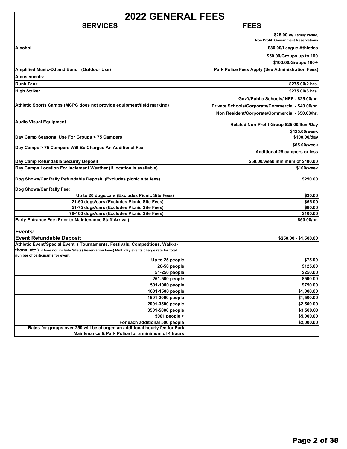| <b>2022 GENERAL FEES</b>                                                                        |                                                                  |
|-------------------------------------------------------------------------------------------------|------------------------------------------------------------------|
| <b>SERVICES</b>                                                                                 | <b>FEES</b>                                                      |
|                                                                                                 | \$25.00 w/ Family Picnic,<br>Non Profit, Government Reservations |
| Alcohol                                                                                         | \$30.00/League Athletics                                         |
|                                                                                                 | \$50.00/Groups up to 100                                         |
|                                                                                                 | \$100.00/Groups 100+                                             |
| Amplified Music-DJ and Band (Outdoor Use)                                                       | Park Police Fees Apply (See Administration Fees)                 |
| Amusements:                                                                                     |                                                                  |
| <b>Dunk Tank</b>                                                                                | \$275.00/2 hrs.                                                  |
| <b>High Striker</b>                                                                             | \$275.00/3 hrs.                                                  |
|                                                                                                 | Gov't/Public Schools/ NFP - \$25.00/hr.                          |
| Athletic Sports Camps (MCPC does not provide equipment/field marking)                           | Private Schools/Corporate/Commercial - \$40.00/hr.               |
|                                                                                                 | Non Resident/Corporate/Commercial - \$50.00/hr.                  |
| <b>Audio Visual Equipment</b>                                                                   | Related Non-Profit Group \$25.00/Item/Day                        |
|                                                                                                 | \$425.00/week                                                    |
| Day Camp Seasonal Use For Groups < 75 Campers                                                   | \$100.00/day                                                     |
| Day Camps > 75 Campers Will Be Charged An Additional Fee                                        | \$65.00/week<br>Additional 25 campers or less                    |
| Day Camp Refundable Security Deposit                                                            | \$50.00/week minimum of \$400.00                                 |
| Day Camps Location For Inclement Weather (If location is available)                             | \$100/week                                                       |
| Dog Shows/Car Rally Refundable Deposit (Excludes picnic site fees)                              | \$250.00                                                         |
| Dog Shows/Car Rally Fee:                                                                        |                                                                  |
| Up to 20 dogs/cars (Excludes Picnic Site Fees)                                                  | \$30.00                                                          |
| 21-50 dogs/cars (Excludes Picnic Site Fees)                                                     | \$55.00                                                          |
| 51-75 dogs/cars (Excludes Picnic Site Fees)                                                     | \$80.00                                                          |
| 76-100 dogs/cars (Excludes Picnic Site Fees)                                                    | \$100.00                                                         |
| Early Entrance Fee (Prior to Maintenance Staff Arrival)                                         | \$50.00/hr.                                                      |
| Events:                                                                                         |                                                                  |
| <b>Event Refundable Deposit</b>                                                                 | \$250.00 - \$1,500.00                                            |
| Athletic Event/Special Event (Tournaments, Festivals, Competitions, Walk-a-                     |                                                                  |
| thons, etc.) (Does not include Site(s) Reservation Fees) Multi day events charge rate for total |                                                                  |
| number of participants for event.<br>Up to 25 people                                            | \$75.00                                                          |
| 26-50 people                                                                                    | \$125.00                                                         |
| 51-250 people                                                                                   | \$250.00                                                         |
| 251-500 people                                                                                  | \$500.00                                                         |
| 501-1000 people                                                                                 | \$750.00                                                         |
| 1001-1500 people                                                                                | \$1,000.00                                                       |
| 1501-2000 people                                                                                | \$1,500.00                                                       |
| 2001-3500 people                                                                                | \$2,500.00                                                       |
| 3501-5000 people<br>5001 people +                                                               | \$3,500.00<br>\$5,000.00                                         |
| For each additional 500 people                                                                  | \$2,000.00                                                       |
| Rates for groups over 250 will be charged an additional hourly fee for Park                     |                                                                  |
| Maintenance & Park Police for a minimum of 4 hours                                              |                                                                  |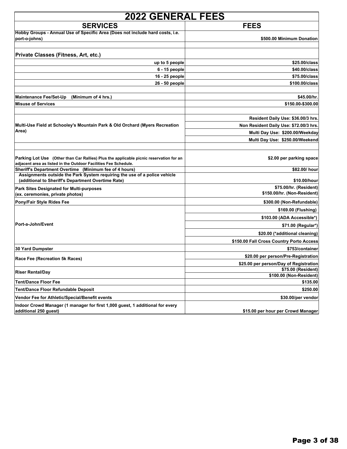| <b>2022 GENERAL FEES</b>                                                                                                                                  |                                          |
|-----------------------------------------------------------------------------------------------------------------------------------------------------------|------------------------------------------|
| <b>SERVICES</b>                                                                                                                                           | <b>FEES</b>                              |
| Hobby Groups - Annual Use of Specific Area (Does not include hard costs, i.e.<br>port-o-johns)                                                            | \$500.00 Minimum Donation                |
| Private Classes (Fitness, Art, etc.)                                                                                                                      |                                          |
| up to 5 people                                                                                                                                            | \$25.00/class                            |
| 6 - 15 people                                                                                                                                             | \$40.00/class                            |
| 16 - 25 people                                                                                                                                            | \$75.00/class                            |
| 26 - 50 people                                                                                                                                            | \$100.00/class                           |
| <b>Maintenance Fee/Set-Up</b><br>(Minimum of 4 hrs.)                                                                                                      | \$45.00/hr.                              |
| <b>Misuse of Services</b>                                                                                                                                 | \$150.00-\$300.00                        |
|                                                                                                                                                           | Resident Daily Use: \$36.00/3 hrs.       |
| Multi-Use Field at Schooley's Mountain Park & Old Orchard (Myers Recreation                                                                               | Non Resident Daily Use: \$72.00/3 hrs.   |
| Area)                                                                                                                                                     | Multi Day Use: \$200.00/Weekday          |
|                                                                                                                                                           | Multi Day Use: \$250.00/Weekend          |
|                                                                                                                                                           |                                          |
| Parking Lot Use (Other than Car Rallies) Plus the applicable picnic reservation for an<br>adjacent area as listed in the Outdoor Facilities Fee Schedule. | \$2.00 per parking space                 |
| Sheriff's Department Overtime (Minimum fee of 4 hours)                                                                                                    | \$82.00/ hour                            |
| Assignments outside the Park System requiring the use of a police vehicle<br>(additional to Sheriff's Department Overtime Rate)                           | \$10.00/hour                             |
| <b>Park Sites Designated for Multi-purposes</b>                                                                                                           | \$75.00/hr. (Resident)                   |
| (ex. ceremonies, private photos)                                                                                                                          | \$150.00/hr. (Non-Resident)              |
| Pony/Fair Style Rides Fee                                                                                                                                 | \$300.00 (Non-Refundable)                |
|                                                                                                                                                           | \$169.00 (Flushing)                      |
|                                                                                                                                                           | \$103.00 (ADA Accessible*)               |
| Port-a-John/Event                                                                                                                                         | \$71.00 (Regular*)                       |
|                                                                                                                                                           | \$20.00 (*additional cleaning)           |
|                                                                                                                                                           | \$150.00 Fall Cross Country Porto Access |
| <b>30 Yard Dumpster</b>                                                                                                                                   | \$753/container                          |
| Race Fee (Recreation 5k Races)                                                                                                                            | \$20.00 per person/Pre-Registration      |
|                                                                                                                                                           | \$25.00 per person/Day of Registration   |
| <b>Riser Rental/Day</b>                                                                                                                                   | \$75.00 (Resident)                       |
| <b>Tent/Dance Floor Fee</b>                                                                                                                               | \$100.00 (Non-Resident)<br>\$135.00      |
| Tent/Dance Floor Refundable Deposit                                                                                                                       | \$250.00                                 |
| Vendor Fee for Athletic/Special/Benefit events                                                                                                            | \$30.00/per vendor                       |
| Indoor Crowd Manager (1 manager for first 1,000 guest, 1 additional for every                                                                             |                                          |
| additional 250 quest)                                                                                                                                     | \$15.00 per hour per Crowd Manager       |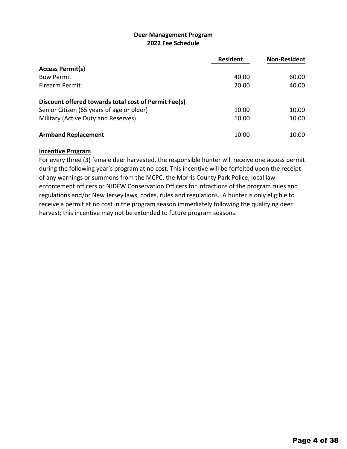### **2022 Fee Schedule Deer Management Program**

|                                                      | <b>Resident</b> | <b>Non-Resident</b> |
|------------------------------------------------------|-----------------|---------------------|
| <b>Access Permit(s)</b>                              |                 |                     |
| <b>Bow Permit</b>                                    | 40.00           | 60.00               |
| <b>Firearm Permit</b>                                | 20.00           | 40.00               |
| Discount offered towards total cost of Permit Fee(s) |                 |                     |
| Senior Citizen (65 years of age or older)            | 10.00           | 10.00               |
| Military (Active Duty and Reserves)                  | 10.00           | 10.00               |
| <b>Armband Replacement</b>                           | 10.00           | 10.00               |

### **Incentive Program**

For every three (3) female deer harvested, the responsible hunter will receive one access permit during the following year's program at no cost. This incentive will be forfeited upon the receipt of any warnings or summons from the MCPC, the Morris County Park Police, local law enforcement officers or NJDFW Conservation Officers for infractions of the program rules and regulations and/or New Jersey laws, codes, rules and regulations. A hunter is only eligible to receive a permit at no cost in the program season immediately following the qualifying deer harvest; this incentive may not be extended to future program seasons.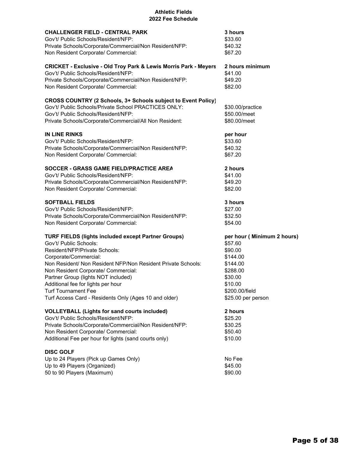### **2022 Fee Schedule Athletic Fields**

| <b>CHALLENGER FIELD - CENTRAL PARK</b>                                                                                                                                                                                 | 3 hours                                          |
|------------------------------------------------------------------------------------------------------------------------------------------------------------------------------------------------------------------------|--------------------------------------------------|
| Gov't/ Public Schools/Resident/NFP:                                                                                                                                                                                    | \$33.60                                          |
| Private Schools/Corporate/Commercial/Non Resident/NFP:                                                                                                                                                                 | \$40.32                                          |
| Non Resident Corporate/ Commercial:                                                                                                                                                                                    | \$67.20                                          |
| <b>CRICKET - Exclusive - Old Troy Park &amp; Lewis Morris Park - Meyers</b>                                                                                                                                            | 2 hours minimum                                  |
| Gov't/ Public Schools/Resident/NFP:                                                                                                                                                                                    | \$41.00                                          |
| Private Schools/Corporate/Commercial/Non Resident/NFP:                                                                                                                                                                 | \$49.20                                          |
| Non Resident Corporate/ Commercial:                                                                                                                                                                                    | \$82.00                                          |
| CROSS COUNTRY (2 Schools, 3+ Schools subject to Event Policy)<br>Gov't/ Public Schools/Private School PRACTICES ONLY:<br>Gov't/ Public Schools/Resident/NFP:<br>Private Schools/Corporate/Commercial/All Non Resident: | \$30.00/practice<br>\$50.00/meet<br>\$80.00/meet |
| <b>IN LINE RINKS</b>                                                                                                                                                                                                   | per hour                                         |
| Gov't/ Public Schools/Resident/NFP:                                                                                                                                                                                    | \$33.60                                          |
| Private Schools/Corporate/Commercial/Non Resident/NFP:                                                                                                                                                                 | \$40.32                                          |
| Non Resident Corporate/ Commercial:                                                                                                                                                                                    | \$67.20                                          |
| SOCCER - GRASS GAME FIELD/PRACTICE AREA                                                                                                                                                                                | 2 hours                                          |
| Gov't/ Public Schools/Resident/NFP:                                                                                                                                                                                    | \$41.00                                          |
| Private Schools/Corporate/Commercial/Non Resident/NFP:                                                                                                                                                                 | \$49.20                                          |
| Non Resident Corporate/ Commercial:                                                                                                                                                                                    | \$82.00                                          |
| <b>SOFTBALL FIELDS</b>                                                                                                                                                                                                 | 3 hours                                          |
| Gov't/ Public Schools/Resident/NFP:                                                                                                                                                                                    | \$27.00                                          |
| Private Schools/Corporate/Commercial/Non Resident/NFP:                                                                                                                                                                 | \$32.50                                          |
| Non Resident Corporate/ Commercial:                                                                                                                                                                                    | \$54.00                                          |
| <b>TURF FIELDS (lights included except Partner Groups)</b>                                                                                                                                                             | per hour (Minimum 2 hours)                       |
| Gov't/ Public Schools:                                                                                                                                                                                                 | \$57.60                                          |
| Resident/NFP/Private Schools:                                                                                                                                                                                          | \$90.00                                          |
| Corporate/Commercial:                                                                                                                                                                                                  | \$144.00                                         |
| Non Resident/ Non Resident NFP/Non Resident Private Schools:                                                                                                                                                           | \$144.00                                         |
| Non Resident Corporate/ Commercial:                                                                                                                                                                                    | \$288.00                                         |
| Partner Group (lights NOT included)                                                                                                                                                                                    | \$30.00                                          |
| Additional fee for lights per hour                                                                                                                                                                                     | \$10.00                                          |
| <b>Turf Tournament Fee</b>                                                                                                                                                                                             | \$200.00/field                                   |
| Turf Access Card - Residents Only (Ages 10 and older)                                                                                                                                                                  | \$25.00 per person                               |
| <b>VOLLEYBALL (Lights for sand courts included)</b>                                                                                                                                                                    | 2 hours                                          |
| Gov't/ Public Schools/Resident/NFP:                                                                                                                                                                                    | \$25.20                                          |
| Private Schools/Corporate/Commercial/Non Resident/NFP:                                                                                                                                                                 | \$30.25                                          |
| Non Resident Corporate/ Commercial:                                                                                                                                                                                    | \$50.40                                          |
| Additional Fee per hour for lights (sand courts only)                                                                                                                                                                  | \$10.00                                          |
| <b>DISC GOLF</b><br>Up to 24 Players (Pick up Games Only)<br>Up to 49 Players (Organized)<br>50 to 90 Players (Maximum)                                                                                                | No Fee<br>\$45.00<br>\$90.00                     |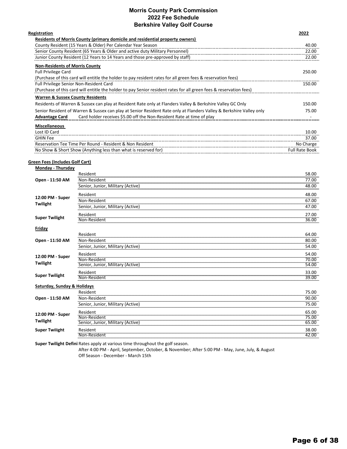### **Morris County Park Commission 2022 Fee Schedule Berkshire Valley Golf Course**

| <b>Registration</b>                                                                                                 | 2022   |
|---------------------------------------------------------------------------------------------------------------------|--------|
| Residents of Morris County (primary domicile and residential property owners)                                       |        |
| County Resident (15 Years & Older) Per Calendar Year Season                                                         | 40.00  |
| Senior County Resident (65 Years & Older and active duty Military Personnel)                                        | 22.00  |
| Junior County Resident (12 Years to 14 Years and those pre-approved by staff)                                       | 22.00  |
| <b>Non-Residents of Morris County</b>                                                                               |        |
| <b>Full Privilege Card</b>                                                                                          | 250.00 |
| (Purchase of this card will entitle the holder to pay resident rates for all green fees & reservation fees)         |        |
| Full Privilege Senior Non-Resident Card                                                                             | 150.00 |
| (Purchase of this card will entitle the holder to pay Senior resident rates for all green fees & reservation fees)  |        |
| <b>Warren &amp; Sussex County Residents</b>                                                                         |        |
| Residents of Warren & Sussex can play at Resident Rate only at Flanders Valley & Berkshire Valley GC Only           | 150.00 |
| Senior Resident of Warren & Sussex can play at Senior Resident Rate only at Flanders Valley & Berkshire Valley only | 75.00  |
| Card holder receives \$5.00 off the Non-Resident Rate at time of play<br><b>Advantage Card</b>                      |        |
| <b>Miscellaneous</b>                                                                                                |        |
| Lost ID Card                                                                                                        | 10.00  |
|                                                                                                                     |        |

| <b>GHIN Fee</b>                                                        | 37.00             |
|------------------------------------------------------------------------|-------------------|
| J - Resident & Non Resident<br>Reservation Tee Time Per Round -        | No Charge         |
| No Show & Short Show (Anything less than what is reserved for)<br>---- | Full Rate<br>Book |

### **Green Fees (Includes Golf Cart)**

| <b>Monday - Thursday</b>    |                                   |           |
|-----------------------------|-----------------------------------|-----------|
|                             | Resident                          | 58.00     |
| Open - 11:50 AM             | Non-Resident                      | 77.00     |
|                             | Senior, Junior, Military (Active) | 48.00     |
| 12:00 PM - Super            | Resident                          | 48.00     |
| Twilight                    | Non-Resident                      | 67.00     |
|                             | Senior, Junior, Military (Active) | 47.00     |
|                             | Resident                          | 27.00     |
| <b>Super Twilight</b>       | Non-Resident                      | 36.00     |
| Friday                      |                                   |           |
|                             | Resident                          | 64.00     |
| Open - 11:50 AM             | Non-Resident                      | 80.00<br> |
|                             | Senior, Junior, Military (Active) | 54.00     |
| 12:00 PM - Super            | Resident                          | 54.00     |
| Twilight                    | Non-Resident                      | 70.00     |
|                             | Senior, Junior, Military (Active) | 54.00     |
|                             | Resident                          | 33.00     |
| <b>Super Twilight</b>       | Non-Resident                      | 39.00     |
| Saturday, Sunday & Holidays |                                   |           |
|                             | Resident                          | 75.00     |
| Open - 11:50 AM             | Non-Resident                      | 90.00<br> |
|                             | Senior, Junior, Military (Active) | 75.00     |
| 12:00 PM - Super            | Resident                          | 65.00     |
|                             | Non-Resident                      | 75.00     |
| Twilight                    | Senior, Junior, Military (Active) | 65.00<br> |
| <b>Super Twilight</b>       | Resident                          | 38.00     |
|                             | Non-Resident                      | 42.00     |

**Super Twilight Defini** Rates apply at various time throughout the golf season.

After 4:00 PM ‐ April, September, October, & November; After 5:00 PM ‐ May, June, July, & August Off Season ‐ December ‐ March 15th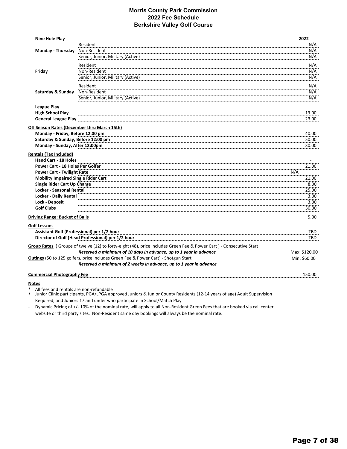### **Morris County Park Commission 2022 Fee Schedule Berkshire Valley Golf Course**

| Nine Hole Play                              |                                                                                                                    | 2022          |
|---------------------------------------------|--------------------------------------------------------------------------------------------------------------------|---------------|
|                                             | Resident                                                                                                           | N/A           |
| Monday - Thursday                           | Non-Resident                                                                                                       | N/A           |
|                                             | Senior, Junior, Military (Active)                                                                                  | N/A           |
|                                             | Resident                                                                                                           | N/A           |
| Friday                                      | Non-Resident                                                                                                       | N/A           |
|                                             | Senior, Junior, Military (Active)                                                                                  | N/A           |
|                                             | Resident                                                                                                           | N/A           |
| Saturday & Sunday                           | Non-Resident                                                                                                       | N/A           |
|                                             | Senior, Junior, Military (Active)                                                                                  | N/A           |
| <b>League Play</b>                          |                                                                                                                    |               |
| <b>High School Play</b>                     |                                                                                                                    | 13.00         |
| <b>General League Play</b>                  |                                                                                                                    | 23.00         |
| Off Season Rates (December thru March 15th) |                                                                                                                    |               |
| Monday - Friday, Before 12:00 pm            |                                                                                                                    | 40.00         |
| Saturday & Sunday, Before 12:00 pm          |                                                                                                                    | 50.00         |
| Monday - Sunday, After 12:00pm              |                                                                                                                    | 30.00         |
| <b>Rentals (Tax Included)</b>               |                                                                                                                    |               |
| Hand Cart - 18 Holes                        |                                                                                                                    |               |
| Power Cart - 18 Holes Per Golfer            |                                                                                                                    | 21.00         |
| <b>Power Cart - Twilight Rate</b>           |                                                                                                                    | N/A           |
| <b>Mobility Impaired Single Rider Cart</b>  |                                                                                                                    | 21.00         |
| Single Rider Cart Up Charge                 |                                                                                                                    | 8.00          |
| Locker - Seasonal Rental                    |                                                                                                                    | 25.00         |
| <b>Locker - Daily Rental</b>                |                                                                                                                    | 3.00          |
| <b>Lock - Deposit</b>                       |                                                                                                                    | 3.00          |
| <b>Golf Clubs</b>                           |                                                                                                                    | 30.00         |
| <b>Driving Range: Bucket of Balls</b>       |                                                                                                                    | 5.00          |
| Golf Lessons                                |                                                                                                                    |               |
|                                             | Assistant Golf (Professional) per 1/2 hour                                                                         | TBD.          |
|                                             | Director of Golf (Head Professional) per 1/2 hour                                                                  | TBD           |
|                                             | Group Rates (Groups of twelve (12) to forty-eight (48), price includes Green Fee & Power Cart) - Consecutive Start |               |
|                                             | Reserved a minimum of 10 days in advance, up to 1 year in advance                                                  | Max: \$120.00 |
|                                             | Outings (50 to 125 golfers, price includes Green Fee & Power Cart) - Shotgun Start                                 | Min: \$60.00  |
|                                             | Reserved a minimum of 2 weeks in advance, up to 1 year in advance                                                  |               |
| <b>Commercial Photography Fee</b>           |                                                                                                                    | 150.00        |
|                                             |                                                                                                                    |               |

**Notes**

All fees and rentals are non-refundable

\* Junior Clinic participants, PGA/LPGA approved Juniors & Junior County Residents (12‐14 years of age) Adult Supervision Required; and Juniors 17 and under who participate in School/Match Play

‐ Dynamic Pricing of +/- 10% of the nominal rate, will apply to all Non-Resident Green Fees that are booked via call center, website or third party sites. Non-Resident same day bookings will always be the nominal rate.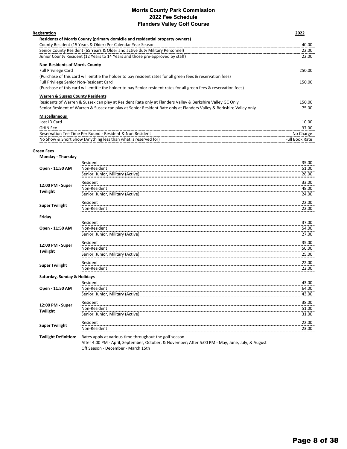### **Morris County Park Commission 2022 Fee Schedule Flanders Valley Golf Course**

| Registration                                                                                                        | 2022   |
|---------------------------------------------------------------------------------------------------------------------|--------|
| Residents of Morris County (primary domicile and residential property owners)                                       |        |
| County Resident (15 Years & Older) Per Calendar Year Season                                                         | 40.00  |
| Senior County Resident (65 Years & Older and active duty Military Personnel)                                        | 22.00  |
| Junior County Resident (12 Years to 14 Years and those pre-approved by staff)                                       | 22.00  |
| <b>Non-Residents of Morris County</b>                                                                               |        |
| <b>Full Privilege Card</b>                                                                                          | 250.00 |
| (Purchase of this card will entitle the holder to pay resident rates for all green fees & reservation fees)         |        |
| Full Privilege Senior Non-Resident Card                                                                             | 150.00 |
| (Purchase of this card will entitle the holder to pay Senior resident rates for all green fees & reservation fees)  |        |
| <b>Warren &amp; Sussex County Residents</b>                                                                         |        |
| Residents of Warren & Sussex can play at Resident Rate only at Flanders Valley & Berkshire Valley GC Only           | 150.00 |
| Senior Resident of Warren & Sussex can play at Senior Resident Rate only at Flanders Valley & Berkshire Valley only | 75.00  |
| <b>Miscellaneous</b>                                                                                                |        |
| Lost ID Card                                                                                                        | 10.00  |
| <b>GHIN Fee</b>                                                                                                     | 37.00  |

Reservation Tee Time Per Round - Resident & Non Resident No. 2014 1998 - 2014 1999 - 2014 1999 - 2014 1999 - 201 No Show & Short Show (Anything less than what is reserved for) **Full Book Rate Reserved for** Full Book Rate

### **Green Fees**

| Monday - Thursday           |                                                         |                            |
|-----------------------------|---------------------------------------------------------|----------------------------|
|                             | Resident                                                | 35.00                      |
| Open - 11:50 AM             | Non-Resident                                            | 51.00<br>,,,,,,,,,,,,,,,,, |
|                             | Senior, Junior, Military (Active)                       | 26.00                      |
| 12:00 PM - Super            | Resident                                                | 33.00                      |
| Twilight                    | Non-Resident                                            | 48.00<br>                  |
|                             | Senior, Junior, Military (Active)                       | 24.00                      |
| <b>Super Twilight</b>       | Resident                                                | 22.00                      |
|                             | Non-Resident                                            | 22.00                      |
| Friday                      |                                                         |                            |
|                             | Resident                                                | 37.00                      |
| Open - 11:50 AM             | Non-Resident                                            | 54.00                      |
|                             | Senior, Junior, Military (Active)                       | 27.00                      |
| 12:00 PM - Super            | Resident                                                | 35.00                      |
| Twilight                    | Non-Resident                                            | 50.00                      |
|                             | Senior, Junior, Military (Active)                       | 25.00                      |
| <b>Super Twilight</b>       | Resident                                                | 22.00                      |
|                             | Non-Resident                                            | 22.00                      |
| Saturday, Sunday & Holidays |                                                         |                            |
|                             | Resident                                                | 43.00                      |
| Open - 11:50 AM             | Non-Resident                                            | 64.00                      |
|                             | Senior, Junior, Military (Active)                       | 43.00                      |
| 12:00 PM - Super            | Resident                                                | 38.00                      |
| Twilight                    | Non-Resident                                            | 51.00                      |
|                             | Senior, Junior, Military (Active)                       | 31.00                      |
| <b>Super Twilight</b>       | Resident                                                | 22.00                      |
|                             | Non-Resident                                            | 23.00                      |
| <b>Twilight Definition:</b> | Rates apply at various time throughout the golf season. |                            |

After 4:00 PM ‐ April, September, October, & November; After 5:00 PM ‐ May, June, July, & August Off Season ‐ December ‐ March 15th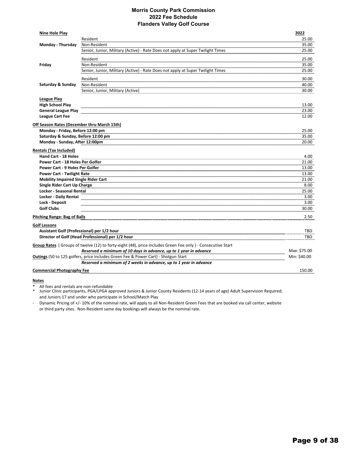### **Morris County Park Commission 2022 Fee Schedule Flanders Valley Golf Course**

| <b>Nine Hole Play</b>                       |                                                                                                            | 2022         |
|---------------------------------------------|------------------------------------------------------------------------------------------------------------|--------------|
|                                             | Resident                                                                                                   | 25.00        |
| Monday - Thursday                           | Non-Resident                                                                                               | 35.00        |
|                                             | Senior, Junior, Military (Active) - Rate Does not apply at Super Twilight Times                            | 25.00        |
|                                             | Resident                                                                                                   | 25.00        |
| Friday                                      | Non-Resident                                                                                               | 35.00        |
|                                             | Senior, Junior, Military (Active) - Rate Does not apply at Super Twilight Times                            | 25.00        |
|                                             | Resident                                                                                                   | 30.00        |
| Saturday & Sunday                           | Non-Resident                                                                                               | 40.00        |
|                                             | Senior, Junior, Military (Active)                                                                          | 30.00        |
|                                             |                                                                                                            |              |
| <b>League Play</b>                          |                                                                                                            |              |
| <b>High School Play</b>                     |                                                                                                            | 13.00        |
| <b>General League Play</b>                  |                                                                                                            | 23.00        |
| <b>League Cart Fee</b>                      |                                                                                                            | 12.00        |
| Off Season Rates (December thru March 15th) |                                                                                                            |              |
| Monday - Friday, Before 12:00 pm            |                                                                                                            | 25.00        |
| Saturday & Sunday, Before 12:00 pm          |                                                                                                            | 35.00        |
| Monday - Sunday, After 12:00pm              |                                                                                                            | 20.00        |
| <b>Rentals (Tax Included)</b>               |                                                                                                            |              |
| Hand Cart - 18 Holes                        |                                                                                                            | 4.00         |
| Power Cart - 18 Holes Per Golfer            |                                                                                                            | 21.00        |
| Power Cart - 9 Holes Per Golfer             |                                                                                                            | 13.00        |
| <b>Power Cart - Twilight Rate</b>           |                                                                                                            | 13.00        |
| <b>Mobility Impaired Single Rider Cart</b>  |                                                                                                            | 21.00        |
| Single Rider Cart Up Charge                 |                                                                                                            | 8.00         |
| Locker - Seasonal Rental                    |                                                                                                            | 25.00        |
| <b>Locker - Daily Rental</b>                |                                                                                                            | 3.00         |
| <b>Lock - Deposit</b>                       |                                                                                                            | 3.00         |
| <b>Golf Clubs</b>                           |                                                                                                            | 30.00        |
| <b>Pitching Range: Bag of Balls</b>         |                                                                                                            | 2.50         |
| <b>Golf Lessons</b>                         |                                                                                                            |              |
| Assistant Golf (Professional) per 1/2 hour  |                                                                                                            | TBD          |
|                                             | Director of Golf (Head Professional) per 1/2 hour                                                          | <b>TBD</b>   |
|                                             | Group Rates (Groups of twelve (12) to forty-eight (48), price includes Green Fee only) - Consecutive Start |              |
|                                             | Reserved a minimum of 10 days in advance, up to 1 year in advance                                          | Max: \$75.00 |
|                                             | Outings (50 to 125 golfers, price includes Green Fee & Power Cart) - Shotgun Start                         | Min: \$40.00 |
|                                             | Reserved a minimum of 2 weeks in advance, up to 1 year in advance                                          |              |
| <b>Commercial Photography Fee</b>           |                                                                                                            | 150.00       |
|                                             |                                                                                                            |              |

**Notes**

All fees and rentals are non-refundable

\* Junior Clinic participants, PGA/LPGA approved Juniors & Junior County Residents (12‐14 years of age) Adult Supervision Required; and Juniors 17 and under who participate in School/Match Play

‐ Dynamic Pricing of +/‐ 10% of the nominal rate, will apply to all Non‐Resident Green Fees that are booked via call center, website or third party sites. Non‐Resident same day bookings will always be the nominal rate.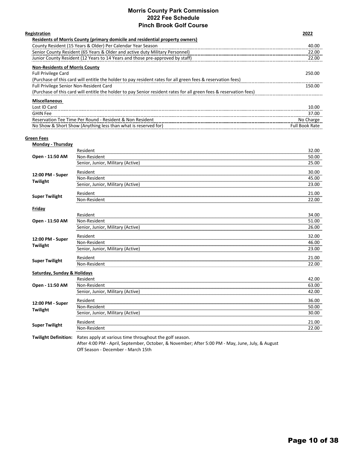### **Morris County Park Commission 2022 Fee Schedule Pinch Brook Golf Course**

| Registration                                                                                                       | 2022                  |
|--------------------------------------------------------------------------------------------------------------------|-----------------------|
| Residents of Morris County (primary domicile and residential property owners)                                      |                       |
| County Resident (15 Years & Older) Per Calendar Year Season                                                        | 40.00                 |
| Senior County Resident (65 Years & Older and active duty Military Personnel)                                       | 22.00                 |
| Junior County Resident (12 Years to 14 Years and those pre-approved by staff)                                      | 22.00                 |
| <b>Non-Residents of Morris County</b>                                                                              |                       |
| <b>Full Privilege Card</b>                                                                                         | 250.00                |
| (Purchase of this card will entitle the holder to pay resident rates for all green fees & reservation fees)        |                       |
| <b>Full Privilege Senior Non-Resident Card</b>                                                                     | 150.00                |
| (Purchase of this card will entitle the holder to pay Senior resident rates for all green fees & reservation fees) |                       |
| <b>Miscellaneous</b>                                                                                               |                       |
| Lost ID Card                                                                                                       | 10.00                 |
| <b>GHIN Fee</b>                                                                                                    | 37.00                 |
| Reservation Tee Time Per Round - Resident & Non Resident                                                           | No Charge             |
| No Show & Short Show (Anything less than what is reserved for)                                                     | <b>Full Book Rate</b> |
|                                                                                                                    |                       |

### **Green Fees**

| Monday - Thursday           |                                                                                                                                                             |           |
|-----------------------------|-------------------------------------------------------------------------------------------------------------------------------------------------------------|-----------|
|                             | Resident                                                                                                                                                    | 32.00     |
| Open - 11:50 AM             | Non-Resident                                                                                                                                                | 50.00     |
|                             | Senior, Junior, Military (Active)                                                                                                                           | 25.00     |
| 12:00 PM - Super            | Resident                                                                                                                                                    | 30.00     |
| Twilight                    | Non-Resident                                                                                                                                                | 45.00     |
|                             | Senior, Junior, Military (Active)                                                                                                                           | 23.00     |
| <b>Super Twilight</b>       | Resident                                                                                                                                                    | 21.00     |
|                             | Non-Resident                                                                                                                                                | 22.00     |
| <b>Friday</b>               |                                                                                                                                                             |           |
|                             | Resident                                                                                                                                                    | 34.00     |
| Open - 11:50 AM             | Non-Resident                                                                                                                                                | 51.00     |
|                             | Senior, Junior, Military (Active)                                                                                                                           | 26.00     |
| 12:00 PM - Super            | Resident                                                                                                                                                    | 32.00     |
|                             | Non-Resident                                                                                                                                                | 46.00<br> |
| Twilight                    | Senior, Junior, Military (Active)                                                                                                                           | 23.00     |
| <b>Super Twilight</b>       | Resident                                                                                                                                                    | 21.00     |
|                             | Non-Resident                                                                                                                                                | 22.00     |
| Saturday, Sunday & Holidays |                                                                                                                                                             |           |
|                             | Resident                                                                                                                                                    | 42.00     |
| Open - 11:50 AM             | Non-Resident                                                                                                                                                | 63.00     |
|                             | Senior, Junior, Military (Active)                                                                                                                           | 42.00     |
| 12:00 PM - Super            | Resident                                                                                                                                                    | 36.00     |
| Twilight                    | Non-Resident                                                                                                                                                | 50.00     |
|                             | Senior, Junior, Military (Active)                                                                                                                           | 30.00     |
| <b>Super Twilight</b>       | Resident                                                                                                                                                    | 21.00     |
|                             | Non-Resident                                                                                                                                                | 22.00     |
| <b>Twilight Definition:</b> | Rates apply at various time throughout the golf season.<br>After 4:00 PM - April, September, October, & November; After 5:00 PM - May, June, July, & August |           |

Off Season ‐ December ‐ March 15th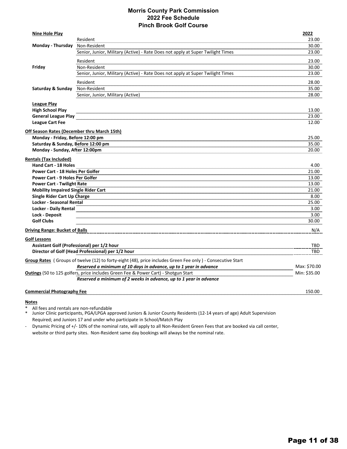### **Morris County Park Commission 2022 Fee Schedule Pinch Brook Golf Course**

| <b>Nine Hole Play</b>                                                                  | Resident                                                                                                   | 2022<br>23.00 |
|----------------------------------------------------------------------------------------|------------------------------------------------------------------------------------------------------------|---------------|
| Monday - Thursday                                                                      | Non-Resident                                                                                               | 30.00         |
|                                                                                        | Senior, Junior, Military (Active) - Rate Does not apply at Super Twilight Times                            | 23.00         |
|                                                                                        | Resident                                                                                                   | 23.00         |
| Friday                                                                                 | Non-Resident                                                                                               | 30.00         |
|                                                                                        | Senior, Junior, Military (Active) - Rate Does not apply at Super Twilight Times                            | 23.00         |
|                                                                                        |                                                                                                            |               |
|                                                                                        | Resident                                                                                                   | 28.00         |
| Saturday & Sunday                                                                      | Non-Resident                                                                                               | 35.00         |
|                                                                                        | Senior, Junior, Military (Active)                                                                          | 28.00         |
| <b>League Play</b>                                                                     |                                                                                                            |               |
| <b>High School Play</b>                                                                |                                                                                                            | 13.00         |
| <b>General League Play</b>                                                             |                                                                                                            | 23.00         |
| <b>League Cart Fee</b>                                                                 |                                                                                                            | 12.00         |
|                                                                                        |                                                                                                            |               |
| <b>Off Season Rates (December thru March 15th)</b><br>Monday - Friday, Before 12:00 pm |                                                                                                            | 25.00         |
| Saturday & Sunday, Before 12:00 pm                                                     |                                                                                                            | 35.00         |
| Monday - Sunday, After 12:00pm                                                         |                                                                                                            | 20.00         |
|                                                                                        |                                                                                                            |               |
| <b>Rentals (Tax Included)</b>                                                          |                                                                                                            |               |
| <b>Hand Cart - 18 Holes</b>                                                            |                                                                                                            | 4.00          |
| <b>Power Cart - 18 Holes Per Golfer</b>                                                |                                                                                                            | 21.00         |
| <b>Power Cart - 9 Holes Per Golfer</b>                                                 |                                                                                                            | 13.00         |
| <b>Power Cart - Twilight Rate</b>                                                      |                                                                                                            | 13.00         |
| <b>Mobility Impaired Single Rider Cart</b>                                             |                                                                                                            | 21.00         |
| <b>Single Rider Cart Up Charge</b>                                                     |                                                                                                            | 8.00          |
| Locker - Seasonal Rental                                                               |                                                                                                            | 25.00         |
| <b>Locker - Daily Rental</b>                                                           |                                                                                                            | 3.00          |
| <b>Lock - Deposit</b>                                                                  |                                                                                                            | 3.00          |
| <b>Golf Clubs</b>                                                                      |                                                                                                            | 30.00         |
| <b>Driving Range: Bucket of Balls</b>                                                  |                                                                                                            | N/A           |
| <b>Golf Lessons</b>                                                                    |                                                                                                            |               |
|                                                                                        | Assistant Golf (Professional) per 1/2 hour                                                                 | TBD           |
|                                                                                        | Director of Golf (Head Professional) per 1/2 hour                                                          | TBD           |
|                                                                                        | Group Rates (Groups of twelve (12) to forty-eight (48), price includes Green Fee only) - Consecutive Start |               |
|                                                                                        | Reserved a minimum of 10 days in advance, up to 1 year in advance                                          | Max: \$70.00  |
|                                                                                        | <b>Outings</b> (50 to 125 golfers, price includes Green Fee & Power Cart) - Shotgun Start                  | Min: \$35.00  |
|                                                                                        | Reserved a minimum of 2 weeks in advance, up to 1 year in advance                                          |               |
|                                                                                        |                                                                                                            |               |
| <b>Commercial Photography Fee</b>                                                      |                                                                                                            | 150.00        |

### **Notes**

All fees and rentals are non-refundable

\* Junior Clinic participants, PGA/LPGA approved Juniors & Junior County Residents (12‐14 years of age) Adult Supervision Required; and Juniors 17 and under who participate in School/Match Play

 $\Box$ Dynamic Pricing of +/‐ 10% of the nominal rate, will apply to all Non‐Resident Green Fees that are booked via call center, website or third party sites. Non-Resident same day bookings will always be the nominal rate.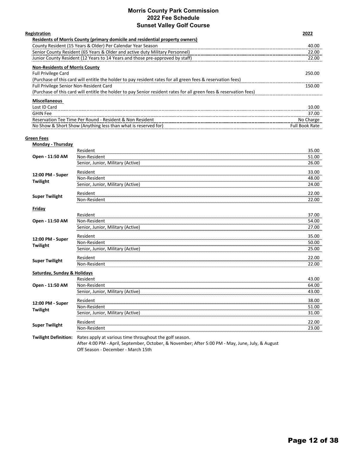### **Morris County Park Commission 2022 Fee Schedule Sunset Valley Golf Course**

| Registration                                                                                                       | 2022                  |
|--------------------------------------------------------------------------------------------------------------------|-----------------------|
| Residents of Morris County (primary domicile and residential property owners)                                      |                       |
| County Resident (15 Years & Older) Per Calendar Year Season                                                        | 40.00                 |
| Senior County Resident (65 Years & Older and active duty Military Personnel)                                       | 22.00                 |
| Junior County Resident (12 Years to 14 Years and those pre-approved by staff)                                      | 22.00                 |
| <b>Non-Residents of Morris County</b>                                                                              |                       |
| <b>Full Privilege Card</b>                                                                                         | 250.00                |
| (Purchase of this card will entitle the holder to pay resident rates for all green fees & reservation fees)        |                       |
| <b>Full Privilege Senior Non-Resident Card</b>                                                                     | 150.00                |
| (Purchase of this card will entitle the holder to pay Senior resident rates for all green fees & reservation fees) |                       |
| <b>Miscellaneous</b>                                                                                               |                       |
| Lost ID Card                                                                                                       | 10.00                 |
| <b>GHIN Fee</b>                                                                                                    | 37.00                 |
| Reservation Tee Time Per Round - Resident & Non Resident                                                           | No Charge             |
| No Show & Short Show (Anything less than what is reserved for)                                                     | <b>Full Book Rate</b> |
|                                                                                                                    |                       |

### **Green Fees**

| <b>Monday - Thursday</b>    |                                                                                                                                                             |       |
|-----------------------------|-------------------------------------------------------------------------------------------------------------------------------------------------------------|-------|
|                             | Resident                                                                                                                                                    | 35.00 |
| Open - 11:50 AM             | Non-Resident                                                                                                                                                | 51.00 |
|                             | Senior, Junior, Military (Active)                                                                                                                           | 26.00 |
| 12:00 PM - Super            | Resident                                                                                                                                                    | 33.00 |
| Twilight                    | Non-Resident                                                                                                                                                | 48.00 |
|                             | Senior, Junior, Military (Active)                                                                                                                           | 24.00 |
| <b>Super Twilight</b>       | Resident                                                                                                                                                    | 22.00 |
|                             | Non-Resident                                                                                                                                                | 22.00 |
| <b>Friday</b>               |                                                                                                                                                             |       |
|                             | Resident                                                                                                                                                    | 37.00 |
| Open - 11:50 AM             | Non-Resident                                                                                                                                                | 54.00 |
|                             | Senior, Junior, Military (Active)                                                                                                                           | 27.00 |
| 12:00 PM - Super            | Resident                                                                                                                                                    | 35.00 |
| Twilight                    | Non-Resident                                                                                                                                                | 50.00 |
|                             | Senior, Junior, Military (Active)                                                                                                                           | 25.00 |
| <b>Super Twilight</b>       | Resident                                                                                                                                                    | 22.00 |
|                             | Non-Resident                                                                                                                                                | 22.00 |
| Saturday, Sunday & Holidays |                                                                                                                                                             |       |
|                             | Resident                                                                                                                                                    | 43.00 |
| Open - 11:50 AM             | Non-Resident                                                                                                                                                | 64.00 |
|                             | Senior, Junior, Military (Active)                                                                                                                           | 43.00 |
| 12:00 PM - Super            | Resident                                                                                                                                                    | 38.00 |
| Twilight                    | Non-Resident                                                                                                                                                | 51.00 |
|                             | Senior, Junior, Military (Active)                                                                                                                           | 31.00 |
| <b>Super Twilight</b>       | Resident                                                                                                                                                    | 22.00 |
|                             | Non-Resident                                                                                                                                                | 23.00 |
| <b>Twilight Definition:</b> | Rates apply at various time throughout the golf season.<br>After 4:00 PM - April, September, October, & November; After 5:00 PM - May, June, July, & August |       |

Off Season ‐ December ‐ March 15th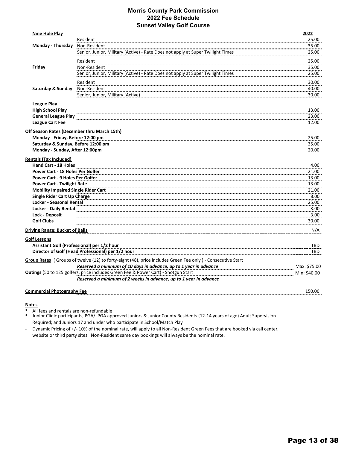### **Morris County Park Commission 2022 Fee Schedule Sunset Valley Golf Course**

| <b>Nine Hole Play</b>                                                              |                                                                                                            | 2022           |
|------------------------------------------------------------------------------------|------------------------------------------------------------------------------------------------------------|----------------|
|                                                                                    | Resident                                                                                                   | 25.00          |
| Monday - Thursday Non-Resident                                                     |                                                                                                            | 35.00          |
|                                                                                    | Senior, Junior, Military (Active) - Rate Does not apply at Super Twilight Times                            | 25.00          |
|                                                                                    | Resident                                                                                                   | 25.00          |
| Friday                                                                             | Non-Resident                                                                                               | 35.00          |
|                                                                                    | Senior, Junior, Military (Active) - Rate Does not apply at Super Twilight Times                            | 25.00          |
|                                                                                    | Resident                                                                                                   | 30.00          |
| Saturday & Sunday Non-Resident                                                     |                                                                                                            | 40.00          |
|                                                                                    | Senior, Junior, Military (Active)                                                                          | 30.00          |
|                                                                                    |                                                                                                            |                |
| <b>League Play</b>                                                                 |                                                                                                            |                |
| <b>High School Play</b>                                                            |                                                                                                            | 13.00          |
| <b>General League Play</b>                                                         |                                                                                                            | 23.00          |
| <b>League Cart Fee</b>                                                             |                                                                                                            | 12.00          |
| Off Season Rates (December thru March 15th)                                        |                                                                                                            |                |
| Monday - Friday, Before 12:00 pm                                                   |                                                                                                            | 25.00          |
| Saturday & Sunday, Before 12:00 pm                                                 |                                                                                                            | 35.00          |
| Monday - Sunday, After 12:00pm                                                     |                                                                                                            | 20.00          |
|                                                                                    |                                                                                                            |                |
| <b>Rentals (Tax Included)</b><br>Hand Cart - 18 Holes                              |                                                                                                            | 4.00           |
| <b>Power Cart - 18 Holes Per Golfer</b>                                            |                                                                                                            | 21.00          |
| <b>Power Cart - 9 Holes Per Golfer</b>                                             |                                                                                                            |                |
| <b>Power Cart - Twilight Rate</b>                                                  |                                                                                                            | 13.00<br>13.00 |
|                                                                                    |                                                                                                            |                |
| <b>Mobility Impaired Single Rider Cart</b><br>Single Rider Cart Up Charge          |                                                                                                            | 21.00<br>8.00  |
| <b>Locker - Seasonal Rental</b>                                                    |                                                                                                            | 25.00          |
| <b>Locker - Daily Rental</b>                                                       |                                                                                                            | 3.00           |
| <b>Lock - Deposit</b>                                                              |                                                                                                            | 3.00           |
| <b>Golf Clubs</b>                                                                  |                                                                                                            | 30.00          |
|                                                                                    |                                                                                                            |                |
| <b>Driving Range: Bucket of Balls</b>                                              |                                                                                                            | N/A            |
| <b>Golf Lessons</b>                                                                |                                                                                                            |                |
|                                                                                    | Assistant Golf (Professional) per 1/2 hour                                                                 | TBD            |
|                                                                                    | Director of Golf (Head Professional) per 1/2 hour                                                          | TBD            |
|                                                                                    | Group Rates (Groups of twelve (12) to forty-eight (48), price includes Green Fee only) - Consecutive Start |                |
|                                                                                    | Reserved a minimum of 10 days in advance, up to 1 year in advance                                          | Max: \$75.00   |
| Outings (50 to 125 golfers, price includes Green Fee & Power Cart) - Shotgun Start |                                                                                                            | Min: \$40.00   |
|                                                                                    | Reserved a minimum of 2 weeks in advance, up to 1 year in advance                                          |                |
| <b>Commercial Photography Fee</b>                                                  |                                                                                                            | 150.00         |
|                                                                                    |                                                                                                            |                |

### **Notes**

All fees and rentals are non-refundable

\* Junior Clinic participants, PGA/LPGA approved Juniors & Junior County Residents (12‐14 years of age) Adult Supervision Required; and Juniors 17 and under who participate in School/Match Play

‐ Dynamic Pricing of +/‐ 10% of the nominal rate, will apply to all Non‐Resident Green Fees that are booked via call center, website or third party sites. Non-Resident same day bookings will always be the nominal rate.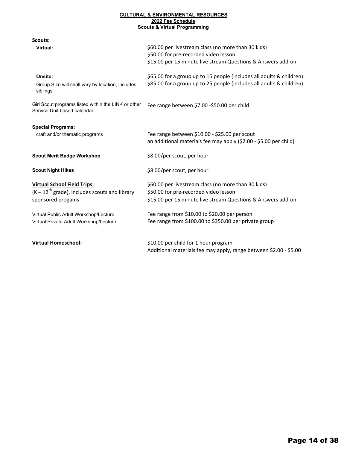### **CULTURAL & ENVIRONMENTAL RESOURCES 2022 Fee Schedule Scouts & Virtual Programming**

| Scouts:                                                                                                     |                                                                                                                                                              |
|-------------------------------------------------------------------------------------------------------------|--------------------------------------------------------------------------------------------------------------------------------------------------------------|
| Virtual:                                                                                                    | \$60.00 per livestream class (no more than 30 kids)<br>\$50.00 for pre-recorded video lesson<br>\$15.00 per 15 minute live stream Questions & Answers add-on |
| Onsite:<br>Group Size will shall vary by location, includes<br>siblings                                     | \$65.00 for a group up to 15 people (includes all adults & children)<br>\$85.00 for a group up to 25 people (includes all adults & children)                 |
| Girl Scout programs listed within the LINK or other<br>Service Unit based calendar                          | Fee range between \$7.00 -\$50.00 per child                                                                                                                  |
| <b>Special Programs:</b>                                                                                    |                                                                                                                                                              |
| craft and/or thematic programs                                                                              | Fee range between \$10.00 - \$25.00 per scout<br>an additional materials fee may apply (\$2.00 - \$5.00 per child)                                           |
| <b>Scout Merit Badge Workshop</b>                                                                           | \$8.00/per scout, per hour                                                                                                                                   |
| <b>Scout Night Hikes</b>                                                                                    | \$8.00/per scout, per hour                                                                                                                                   |
| <b>Virtual School Field Trips:</b><br>$(K-12^{th}$ grade), includes scouts and library<br>sponsored progams | \$60.00 per livestream class (no more than 30 kids)<br>\$50.00 for pre-recorded video lesson<br>\$15.00 per 15 minute live stream Questions & Answers add-on |
| Virtual Public Adult Workshop/Lecture<br>Virtual Private Adult Workshop/Lecture                             | Fee range from \$10.00 to \$20.00 per person<br>Fee range from \$100.00 to \$350.00 per private group                                                        |
| <b>Virtual Homeschool:</b>                                                                                  | \$10.00 per child for 1 hour program<br>Additional materials fee may apply, range between \$2.00 - \$5.00                                                    |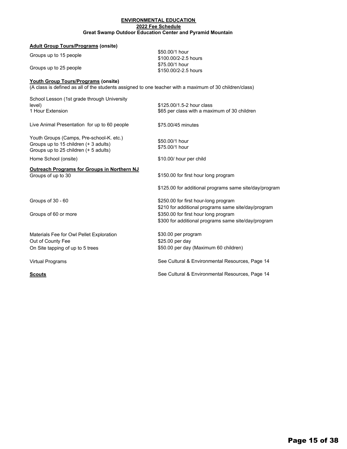### **ENVIRONMENTAL EDUCATION Great Swamp Outdoor Education Center and Pyramid Mountain 2022 Fee Schedule**

| <b>Adult Group Tours/Programs (onsite)</b>                                                              |                                                        |
|---------------------------------------------------------------------------------------------------------|--------------------------------------------------------|
| Groups up to 15 people                                                                                  | \$50,00/1 hour<br>\$100.00/2-2.5 hours                 |
| Groups up to 25 people                                                                                  | \$75.00/1 hour<br>\$150.00/2-2.5 hours                 |
| Youth Group Tours/Programs (onsite)                                                                     |                                                        |
| (A class is defined as all of the students assigned to one teacher with a maximum of 30 children/class) |                                                        |
| School Lesson (1st grade through University                                                             |                                                        |
| level)                                                                                                  | \$125,00/1.5-2 hour class                              |
| 1 Hour Extension                                                                                        | \$65 per class with a maximum of 30 children           |
| Live Animal Presentation for up to 60 people                                                            | \$75.00/45 minutes                                     |
| Youth Groups (Camps, Pre-school-K. etc.)                                                                | \$50,00/1 hour                                         |
| Groups up to 15 children (+ 3 adults)                                                                   | \$75.00/1 hour                                         |
| Groups up to 25 children (+ 5 adults)                                                                   |                                                        |
| Home School (onsite)                                                                                    | \$10.00/ hour per child                                |
| <b>Outreach Programs for Groups in Northern NJ</b>                                                      |                                                        |
| Groups of up to 30                                                                                      | \$150.00 for first hour long program                   |
|                                                                                                         | \$125.00 for additional programs same site/day/program |
| Groups of 30 - 60                                                                                       | \$250.00 for first hour-long program                   |
|                                                                                                         | \$210 for additional programs same site/day/program    |
| Groups of 60 or more                                                                                    | \$350.00 for first hour long program                   |
|                                                                                                         | \$300 for additional programs same site/day/program    |
| Materials Fee for Owl Pellet Exploration                                                                | \$30.00 per program                                    |
| Out of County Fee                                                                                       | \$25.00 per day                                        |
| On Site tapping of up to 5 trees                                                                        | \$50.00 per day (Maximum 60 children)                  |
| <b>Virtual Programs</b>                                                                                 | See Cultural & Environmental Resources, Page 14        |
| <b>Scouts</b>                                                                                           | See Cultural & Environmental Resources, Page 14        |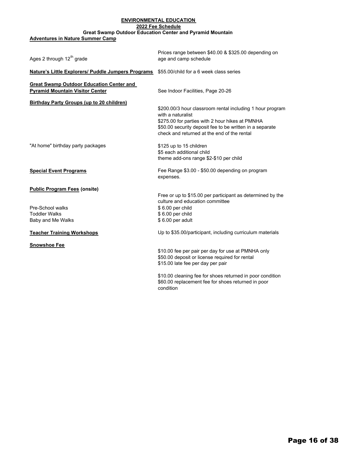### **ENVIRONMENTAL EDUCATION 2022 Fee Schedule**

### **Great Swamp Outdoor Education Center and Pyramid Mountain**

**Adventures in Nature Summer Camp**

| Ages 2 through 12 <sup>th</sup> grade                                                     | Prices range between \$40.00 & \$325.00 depending on<br>age and camp schedule                                                                                                                                                                |
|-------------------------------------------------------------------------------------------|----------------------------------------------------------------------------------------------------------------------------------------------------------------------------------------------------------------------------------------------|
| Nature's Little Explorers/ Puddle Jumpers Programs                                        | \$55,00/child for a 6 week class series                                                                                                                                                                                                      |
| <b>Great Swamp Outdoor Education Center and</b><br><b>Pyramid Mountain Visitor Center</b> | See Indoor Facilities, Page 20-26                                                                                                                                                                                                            |
| <b>Birthday Party Groups (up to 20 children)</b>                                          | \$200.00/3 hour classroom rental including 1 hour program<br>with a naturalist<br>\$275.00 for parties with 2 hour hikes at PMNHA<br>\$50.00 security deposit fee to be written in a separate<br>check and returned at the end of the rental |
| "At home" birthday party packages                                                         | \$125 up to 15 children<br>\$5 each additional child<br>theme add-ons range \$2-\$10 per child                                                                                                                                               |
| <b>Special Event Programs</b>                                                             | Fee Range \$3.00 - \$50.00 depending on program<br>expenses.                                                                                                                                                                                 |
| <b>Public Program Fees (onsite)</b>                                                       | Free or up to \$15.00 per participant as determined by the<br>culture and education committee                                                                                                                                                |
| Pre-School walks<br><b>Toddler Walks</b><br>Baby and Me Walks                             | \$6.00 per child<br>\$6.00 per child<br>\$6.00 per adult                                                                                                                                                                                     |
| <b>Teacher Training Workshops</b>                                                         | Up to \$35.00/participant, including curriculum materials                                                                                                                                                                                    |
| <b>Snowshoe Fee</b>                                                                       | \$10.00 fee per pair per day for use at PMNHA only<br>\$50.00 deposit or license required for rental<br>\$15.00 late fee per day per pair                                                                                                    |
|                                                                                           | \$10.00 cleaning fee for shoes returned in poor condition<br>\$60.00 replacement fee for shoes returned in poor<br>condition                                                                                                                 |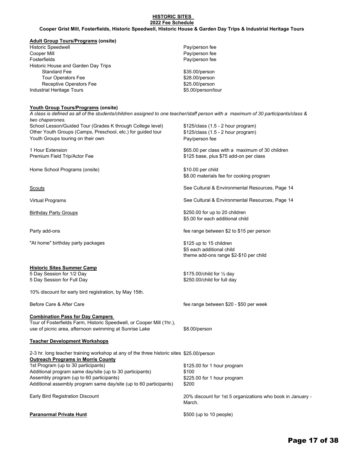### **2022 Fee Schedule HISTORIC SITES Cooper Grist Mill, Fosterfields, Historic Speedwell, Historic House & Garden Day Trips & Industrial Heritage Tours**

### **Adult Group Tours/Programs (onsite)**

| <b>Historic Speedwell</b>           | Pay/person fee     |
|-------------------------------------|--------------------|
| Cooper Mill                         | Pay/person fee     |
| Fosterfields                        | Pay/person fee     |
| Historic House and Garden Day Trips |                    |
| <b>Standard Fee</b>                 | \$35.00/person     |
| <b>Tour Operators Fee</b>           | \$28.00/person     |
| Receptive Operators Fee             | \$25.00/person     |
| Industrial Heritage Tours           | \$5.00/person/tour |

### **Youth Group Tours/Programs (onsite)**

School Lesson/Guided Tour (Grades K through College level) \$125/class (1.5 - 2 hour program) *A class is defined as all of the students/children assigned to one teacher/staff person with a maximum of 30 participants/class & two chaperones.*

Other Youth Groups (Camps, Preschool, etc.) for guided tour \$125/class (1.5 - 2 hour program) Youth Groups touring on their own **Pay/person fee** 

Home School Programs (onsite) **\$10.00 per child** 

"At home" birthday party packages  $$125$  up to 15 children

### **Historic Sites Summer Camp**

5 Day Session for Full Day **\$250.00/child for full day** \$250.00

10% discount for early bird registration, by May 15th.

### **Combination Pass for Day Campers**

Tour of Fosterfields Farm, Historic Speedwell, or Cooper Mill (1hr.), use of picnic area, afternoon swimming at Sunrise Lake \$8.00/person

| <b>Teacher Development Workshops</b> |  |
|--------------------------------------|--|
|--------------------------------------|--|

2-3 hr. long teacher training workshop at any of the three historic sites \$25.00/person **Outreach Programs in Morris County** 1st Program (up to 30 participants) **\$125.00 for 1 hour program** Additional program same day/site (up to 30 participants) \$100 Assembly program (up to 60 participants) \$225.00 for 1 hour program Additional assembly program same day/site (up to 60 participants) \$200

Early Bird Registration Discount

**Paranormal Private Hunt 10 and 10 and 10 and 10 and 10 and 10 and 10 people)** 

1 Hour Extension \$65.00 per class with a maximum of 30 children Premium Field Trip/Actor Fee **\$125 base, plus \$75 add-on per class** 

\$8.00 materials fee for cooking program

Scouts See Cultural & Environmental Resources, Page 14

Virtual Programs See Cultural & Environmental Resources, Page 14

Birthday Party Groups **business business \$250.00** for up to 20 children \$5.00 for each additional child

Party add-ons **Fee range between \$2 to \$15 per person** fee range between \$2 to \$15 per person

\$5 each additional child theme add-ons range \$2-\$10 per child

5 Day Session for 1/2 Day 6. The state of the state of the State State State State State State State State State State State State State State State State State State State State State State State State State State State S

Before Care & After Care fee range between \$20 - \$50 per week

20% discount for 1st 5 organizations who book in January - March.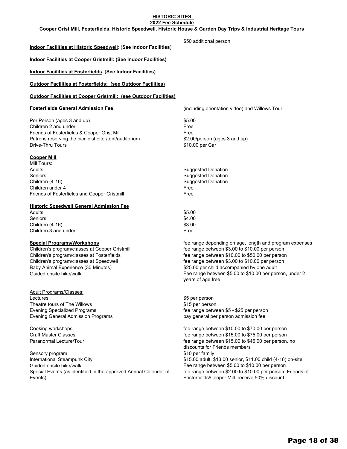### **2022 Fee Schedule HISTORIC SITES**

**Cooper Grist Mill, Fosterfields, Historic Speedwell, Historic House & Garden Day Trips & Industrial Heritage Tours**

### **Indoor Facilities at Historic Speedwell**: (**See Indoor Facilities**)

**Indoor Facilities at Cooper Gristmill: (See Indoor Facilities)**

**Indoor Facilities at Fosterfields**: (**See Indoor Facilities)**

### **Outdoor Facilities at Fosterfields: (see Outdoor Facilities)**

### **Outdoor Facilities at Cooper Gristmill: (see Outdoor Facilities)**

Per Person (ages 3 and up) \$5.00 Children 2 and under Free Friends of Fosterfields & Cooper Grist Mill **Friends** of Free Patrons reserving the picnic shelter/tent/auditorium \$2.00/person (ages 3 and up) Drive-Thru Tours **but the Carroll Control of the Carroll Control Control Control Control Control Control Control Control Control Control Control Control Control Control Control Control Control Control Control Control Contr** 

### **Cooper Mill**

Mill Tours: Adults **Suggested Donation** Seniors **Seniors** Suggested Donation Children (4-16) Suggested Donation Children under 4 Free Friends of Fosterfields and Cooper Gristmill Free

### **Historic Speedwell General Admission Fee**

Adults \$5.00 Seniors \$4.00 Children (4-16) \$3.00 Children 3 and under Free

Baby Animal Experience (30 Minutes) 6825.00 per child accompanied by one adult

Adult Programs/Classes: Lectures \$5 per person \$5 per person Theatre tours of The Willows **\$15 per person** Evening General Admission Programs pay a pay general per person admission fee

Sensory program  $$10$  per family International Steampunk City **60 and 12 and 12 and 13 and 13 and 13 and 13 and 13 and 13 and 14 and 15 and 16** and 15 and 16 and 16 and 16 and 16 and 16 and 16 and 16 and 16 and 16 and 16 and 16 and 16 and 16 and 16 and 16 Guided onsite hike/walk **Fee range between \$5.00 to \$10.00 per person** Special Events (as identified in the approved Annual Calendar of Events)

**Fosterfields General Admission Fee** (including orientation video) and Willows Tour

\$50 additional person

**Special Programs/Workshops** *n n n n n n n n n n n n n n n n n n n n n n n n n n n n n n n n* Children's program/classes at Cooper Gristmill fee range between \$3.00 to \$10.00 per person Children's program/classes at Fosterfields fee range between \$10.00 to \$50.00 per person Children's program/classes at Speedwell **feedwell** fee range between \$3.00 to \$10.00 per person Guided onsite hike/walk Fee range between \$5.00 to \$10.00 per person, under 2 years of age free

Evening Specialized Programs fee range between \$5 - \$25 per person

Cooking workshops fee range between \$10.00 to \$70.00 per person Craft Master Classes fee range between \$15.00 to \$75.00 per person Paranormal Lecture/Tour the range between \$15.00 to \$45.00 per person, no discounts for Friends members fee range between \$2.00 to \$10.00 per person, Friends of Fosterfields/Cooper Mill receive 50% discount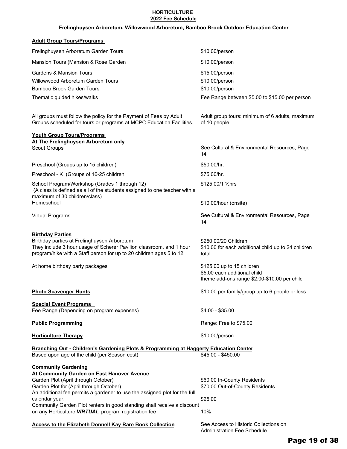### **HORTICULTURE 2022 Fee Schedule**

### **Frelinghuysen Arboretum, Willowwood Arboretum, Bamboo Brook Outdoor Education Center**

### **Adult Group Tours/Programs**

| Frelinghuysen Arboretum Garden Tours                                                                                                                                                                                                                                                                                                                                                          | \$10.00/person                                                                                             |
|-----------------------------------------------------------------------------------------------------------------------------------------------------------------------------------------------------------------------------------------------------------------------------------------------------------------------------------------------------------------------------------------------|------------------------------------------------------------------------------------------------------------|
| Mansion Tours (Mansion & Rose Garden                                                                                                                                                                                                                                                                                                                                                          | \$10.00/person                                                                                             |
| <b>Gardens &amp; Mansion Tours</b><br><b>Willowwood Arboretum Garden Tours</b><br><b>Bamboo Brook Garden Tours</b><br>Thematic guided hikes/walks                                                                                                                                                                                                                                             | \$15.00/person<br>\$10.00/person<br>\$10.00/person<br>Fee Range between \$5.00 to \$15.00 per person       |
| All groups must follow the policy for the Payment of Fees by Adult<br>Groups scheduled for tours or programs at MCPC Education Facilities.                                                                                                                                                                                                                                                    | Adult group tours: minimum of 6 adults, maximum<br>of 10 people                                            |
| <b>Youth Group Tours/Programs</b>                                                                                                                                                                                                                                                                                                                                                             |                                                                                                            |
| At The Frelinghuysen Arboretum only<br><b>Scout Groups</b>                                                                                                                                                                                                                                                                                                                                    | See Cultural & Environmental Resources, Page<br>14                                                         |
| Preschool (Groups up to 15 children)                                                                                                                                                                                                                                                                                                                                                          | \$50.00/hr.                                                                                                |
| Preschool - K (Groups of 16-25 children                                                                                                                                                                                                                                                                                                                                                       | \$75.00/hr.                                                                                                |
| School Program/Workshop (Grades 1 through 12)<br>(A class is defined as all of the students assigned to one teacher with a<br>maximum of 30 children/class)                                                                                                                                                                                                                                   | \$125.00/1 1/2hrs                                                                                          |
| Homeschool                                                                                                                                                                                                                                                                                                                                                                                    | \$10.00/hour (onsite)                                                                                      |
| <b>Virtual Programs</b>                                                                                                                                                                                                                                                                                                                                                                       | See Cultural & Environmental Resources, Page<br>14                                                         |
| <b>Birthday Parties</b><br>Birthday parties at Frelinghuysen Arboretum<br>They include 3 hour usage of Scherer Pavilion classroom, and 1 hour<br>program/hike with a Staff person for up to 20 children ages 5 to 12.                                                                                                                                                                         | \$250.00/20 Children<br>\$10.00 for each additional child up to 24 children<br>total                       |
| At home birthday party packages                                                                                                                                                                                                                                                                                                                                                               | \$125.00 up to 15 children<br>\$5.00 each additional child<br>theme add-ons range \$2.00-\$10.00 per child |
| <b>Photo Scavenger Hunts</b>                                                                                                                                                                                                                                                                                                                                                                  | \$10.00 per family/group up to 6 people or less                                                            |
| <b>Special Event Programs</b>                                                                                                                                                                                                                                                                                                                                                                 |                                                                                                            |
| Fee Range (Depending on program expenses)                                                                                                                                                                                                                                                                                                                                                     | $$4.00 - $35.00$                                                                                           |
| <b>Public Programming</b>                                                                                                                                                                                                                                                                                                                                                                     | Range: Free to \$75.00                                                                                     |
| <b>Horticulture Therapy</b>                                                                                                                                                                                                                                                                                                                                                                   | \$10.00/person                                                                                             |
| Branching Out - Children's Gardening Plots & Programming at Haggerty Education Center<br>Based upon age of the child (per Season cost)                                                                                                                                                                                                                                                        | \$45.00 - \$450.00                                                                                         |
| <b>Community Gardening</b><br>At Community Garden on East Hanover Avenue<br>Garden Plot (April through October)<br>Garden Plot for (April through October)<br>An additional fee permits a gardener to use the assigned plot for the full<br>calendar year.<br>Community Garden Plot renters in good standing shall receive a discount<br>on any Horticulture VIRTUAL program registration fee | \$60.00 In-County Residents<br>\$70.00 Out-of-County Residents<br>\$25.00<br>10%                           |
| <b>Access to the Elizabeth Donnell Kay Rare Book Collection</b>                                                                                                                                                                                                                                                                                                                               | See Access to Historic Collections on<br><b>Administration Fee Schedule</b>                                |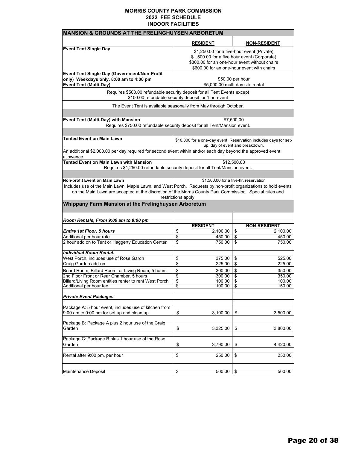| <b>MANSION &amp; GROUNDS AT THE FRELINGHUYSEN ARBORETUM</b>                                                                      |                                               |                                                                                                     |  |
|----------------------------------------------------------------------------------------------------------------------------------|-----------------------------------------------|-----------------------------------------------------------------------------------------------------|--|
|                                                                                                                                  | <b>RESIDENT</b>                               | <b>NON-RESIDENT</b>                                                                                 |  |
| <b>Event Tent Single Day</b>                                                                                                     | \$1,250.00 for a five-hour event (Private)    |                                                                                                     |  |
|                                                                                                                                  | \$1,500.00 for a five hour event (Corporate)  |                                                                                                     |  |
|                                                                                                                                  | \$300.00 for an one-hour event without chairs |                                                                                                     |  |
|                                                                                                                                  |                                               | \$600.00 for an one-hour event with chairs                                                          |  |
| Event Tent Single Day (Government/Non-Profit                                                                                     |                                               |                                                                                                     |  |
| only) Weekdays only, 8:00 am to 4:00 pm                                                                                          |                                               | \$50.00 per hour                                                                                    |  |
| <b>Event Tent (Multi-Day)</b>                                                                                                    |                                               | \$5,000.00 multi-day site rental                                                                    |  |
| Requires \$500.00 refundable security deposit for all Tent Events except<br>\$100.00 refundable security deposit for 1 hr. event |                                               |                                                                                                     |  |
| The Event Tent is available seasonally from May through October.                                                                 |                                               |                                                                                                     |  |
|                                                                                                                                  |                                               |                                                                                                     |  |
| Event Tent (Multi-Day) with Mansion                                                                                              |                                               | \$7,500.00                                                                                          |  |
| Requires \$750.00 refundable security deposit for all Tent/Mansion event.                                                        |                                               |                                                                                                     |  |
|                                                                                                                                  |                                               |                                                                                                     |  |
| Tented Event on Main Lawn                                                                                                        |                                               | \$10,000 for a one-day event. Reservation includes days for set-<br>up, day of event and breakdown. |  |
| An additional \$2,000.00 per day required for second event within and/or each day beyond the approved event<br>allowance         |                                               |                                                                                                     |  |
| <b>Tented Event on Main Lawn with Mansion</b>                                                                                    |                                               | \$12,500.00                                                                                         |  |
| Requires \$1,250.00 refundable security deposit for all Tent/Mansion event.                                                      |                                               |                                                                                                     |  |
|                                                                                                                                  |                                               |                                                                                                     |  |
| Non-profit Event on Main Lawn                                                                                                    |                                               | \$1,500.00 for a five-hr. reservation                                                               |  |
| Includes use of the Main Lawn, Maple Lawn, and West Porch. Requests by non-profit organizations to hold events                   |                                               |                                                                                                     |  |
| on the Main Lawn are accepted at the discretion of the Morris County Park Commission. Special rules and                          |                                               |                                                                                                     |  |
|                                                                                                                                  | restrictions apply.                           |                                                                                                     |  |
| Whippany Farm Mansion at the Frelinghuysen Arboretum                                                                             |                                               |                                                                                                     |  |
|                                                                                                                                  |                                               |                                                                                                     |  |
| Room Rentals, From 9:00 am to 9:00 pm                                                                                            |                                               |                                                                                                     |  |
|                                                                                                                                  | <b>RESIDENT</b>                               | <b>NON-RESIDENT</b>                                                                                 |  |
| <b>Entire 1st Floor, 5 hours</b>                                                                                                 | \$<br>2,100.00                                | \$<br>2,100.00                                                                                      |  |
| Additional per hour rate<br>2 hour add on to Tent or Haggerty Education Center                                                   | \$<br>450.00<br>\$<br>750.00                  | \$<br>450.00<br>\$<br>750.00                                                                        |  |
|                                                                                                                                  |                                               |                                                                                                     |  |
| Individual Room Rental:                                                                                                          |                                               |                                                                                                     |  |
| West Porch, includes use of Rose Gardn                                                                                           | \$<br>375.00                                  | \$<br>525.00                                                                                        |  |
| Craig Garden add-on                                                                                                              | \$<br>225.00                                  | \$<br>225.00                                                                                        |  |
| Board Room, Billard Room, or Living Room, 5 hours                                                                                | \$<br>300.00                                  | \$<br>350.00                                                                                        |  |
| 2nd Floor Front or Rear Chamber, 5 hours                                                                                         | \$<br>300.00                                  | \$<br>350.00                                                                                        |  |
| Billard/Living Room entitles renter to rent West Porch<br>Additional per hour fee                                                | \$<br>100.00<br>\$<br>100.00                  | \$<br>100.00<br>\$<br>150.00                                                                        |  |
|                                                                                                                                  |                                               |                                                                                                     |  |
| <b>Private Event Packages</b>                                                                                                    |                                               |                                                                                                     |  |
| Package A: 5 hour event, includes use of kitchen from                                                                            |                                               |                                                                                                     |  |
| 9:00 am to 9:00 pm for set up and clean up                                                                                       | \$<br>3,100.00                                | \$<br>3,500.00                                                                                      |  |
| Package B: Package A plus 2 hour use of the Craig                                                                                |                                               |                                                                                                     |  |
| Garden                                                                                                                           | \$<br>3,325.00                                | \$<br>3,800.00                                                                                      |  |
| Package C: Package B plus 1 hour use of the Rose                                                                                 |                                               |                                                                                                     |  |
| Garden                                                                                                                           | \$<br>3,790.00                                | \$<br>4,420.00                                                                                      |  |
|                                                                                                                                  |                                               |                                                                                                     |  |
| Rental after 9:00 pm, per hour                                                                                                   | \$                                            | \$<br>250.00                                                                                        |  |
|                                                                                                                                  | 250.00                                        |                                                                                                     |  |
|                                                                                                                                  |                                               |                                                                                                     |  |
| Maintenance Deposit                                                                                                              | \$<br>500.00                                  | \$<br>500.00                                                                                        |  |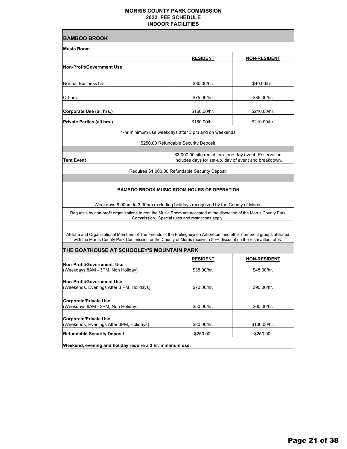| <b>BAMBOO BROOK</b>                                                                                                                                                                                                                          |                                                         |                                                       |  |
|----------------------------------------------------------------------------------------------------------------------------------------------------------------------------------------------------------------------------------------------|---------------------------------------------------------|-------------------------------------------------------|--|
| <b>Music Room</b>                                                                                                                                                                                                                            |                                                         |                                                       |  |
|                                                                                                                                                                                                                                              | <u>RESIDENT</u>                                         | <b>NON-RESIDENT</b>                                   |  |
| <b>Non-Profit/Government Use</b>                                                                                                                                                                                                             |                                                         |                                                       |  |
|                                                                                                                                                                                                                                              |                                                         |                                                       |  |
| Normal Business hrs.                                                                                                                                                                                                                         | \$30.00/hr.                                             | \$40.00/hr.                                           |  |
|                                                                                                                                                                                                                                              |                                                         |                                                       |  |
| Off-hrs.                                                                                                                                                                                                                                     | \$75.00/hr.                                             | \$85.00/hr.                                           |  |
| Corporate Use (all hrs.)                                                                                                                                                                                                                     | \$160.00/hr.                                            | \$210.00/hr.                                          |  |
| <b>Private Parties (all hrs.)</b>                                                                                                                                                                                                            | \$160.00/hr.                                            | \$210.00/hr.                                          |  |
|                                                                                                                                                                                                                                              | 4-hr minimum use weekdays after 3 pm and on weekends    |                                                       |  |
|                                                                                                                                                                                                                                              | \$250.00 Refundable Security Deposit                    |                                                       |  |
|                                                                                                                                                                                                                                              |                                                         |                                                       |  |
| <b>Tent Event</b>                                                                                                                                                                                                                            | \$3,000.00 site rental for a one-day event. Reservation | includes days for set-up, day of event and breakdown. |  |
|                                                                                                                                                                                                                                              | Requires \$1,000.00 Refundable Security Deposit         |                                                       |  |
|                                                                                                                                                                                                                                              |                                                         |                                                       |  |
| Weekdays 8:00am to 3:00pm excluding holidays recognized by the County of Morris                                                                                                                                                              | <b>BAMBOO BROOK MUSIC ROOM HOURS OF OPERATION</b>       |                                                       |  |
| Requests by non-profit organizations to rent the Music Room are accepted at the discretion of the Morris County Park                                                                                                                         | Commission. Special rules and restrictions apply.       |                                                       |  |
| Affiliate and Organizational Members of The Friends of the Frelinghuysen Arboretum and other non-profit groups affiliated<br>with the Morris County Park Commission or the County of Morris receive a 50% discount on the reservation rates. |                                                         |                                                       |  |
| THE BOATHOUSE AT SCHOOLEY'S MOUNTAIN PARK                                                                                                                                                                                                    | <u>RESIDENT</u>                                         | <b>NON-RESIDENT</b>                                   |  |
| <b>Non-Profit/Government Use</b>                                                                                                                                                                                                             |                                                         |                                                       |  |
| (Weekdays 8AM - 3PM, Non Holiday)                                                                                                                                                                                                            | \$35.00/hr.                                             | \$45.00/hr.                                           |  |
| <b>Non-Profit/Government Use</b>                                                                                                                                                                                                             |                                                         |                                                       |  |
| (Weekends, Evenings After 3 PM, Holidays)                                                                                                                                                                                                    | \$70.00/hr.                                             | \$90.00/hr.                                           |  |
| <b>Corporate/Private Use</b>                                                                                                                                                                                                                 |                                                         |                                                       |  |
| (Weekdays 8AM - 3PM, Non Holiday)                                                                                                                                                                                                            | \$50.00/hr.                                             | \$60.00/hr.                                           |  |
| <b>Corporate/Private Use</b>                                                                                                                                                                                                                 |                                                         |                                                       |  |
| (Weekends, Evenings After 3PM, Holidays)                                                                                                                                                                                                     | \$80.00/hr.                                             | \$100.00/hr.                                          |  |
| <b>Refundable Security Deposit</b>                                                                                                                                                                                                           | \$250.00                                                | \$250.00                                              |  |
| Weekend, evening and holiday require a 3 hr. minimum use.                                                                                                                                                                                    |                                                         |                                                       |  |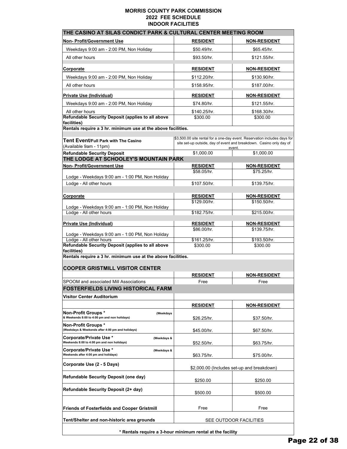| THE CASINO AT SILAS CONDICT PARK & CULTURAL CENTER MEETING ROOM                         |                                 |                                                                                                                                                  |  |  |
|-----------------------------------------------------------------------------------------|---------------------------------|--------------------------------------------------------------------------------------------------------------------------------------------------|--|--|
| Non- Profit/Government Use                                                              | <b>RESIDENT</b>                 | <b>NON-RESIDENT</b>                                                                                                                              |  |  |
| Weekdays 9:00 am - 2:00 PM, Non Holiday                                                 | \$50.49/hr.                     | \$65.45/hr.                                                                                                                                      |  |  |
| All other hours                                                                         | \$93.50/hr.                     | \$121.55/hr.                                                                                                                                     |  |  |
| Corporate                                                                               | <b>RESIDENT</b>                 | <b>NON-RESIDENT</b>                                                                                                                              |  |  |
| Weekdays 9:00 am - 2:00 PM, Non Holiday                                                 | \$112.20/hr.                    | \$130.90/hr.                                                                                                                                     |  |  |
| All other hours                                                                         | \$158.95/hr.                    | \$187.00/hr.                                                                                                                                     |  |  |
| Private Use (Individual)                                                                | <b>RESIDENT</b>                 | <b>NON-RESIDENT</b>                                                                                                                              |  |  |
| Weekdays 9:00 am - 2:00 PM, Non Holiday                                                 | \$74.80/hr.                     | \$121.55/hr.                                                                                                                                     |  |  |
| All other hours                                                                         | \$140.25/hr.                    | \$168.30/hr.                                                                                                                                     |  |  |
| Refundable Security Deposit (applies to all above                                       | \$300.00                        | \$300.00                                                                                                                                         |  |  |
| facilities)<br>Rentals require a 3 hr. minimum use at the above facilities.             |                                 |                                                                                                                                                  |  |  |
|                                                                                         |                                 |                                                                                                                                                  |  |  |
| Tent Event/Full Park with The Casino<br>(Available 9am - 11pm)                          |                                 | \$3,500.00 site rental for a one-day event. Reservation includes days for<br>site set-up outside, day of event and breakdown. Casino only day of |  |  |
| <b>Refundable Security Deposit</b>                                                      | \$1,000.00                      | event.<br>\$1,000.00                                                                                                                             |  |  |
| THE LODGE AT SCHOOLEY'S MOUNTAIN PARK                                                   |                                 |                                                                                                                                                  |  |  |
| Non- Profit/Government Use                                                              | <b>RESIDENT</b>                 | <b>NON-RESIDENT</b>                                                                                                                              |  |  |
| Lodge - Weekdays 9:00 am - 1:00 PM, Non Holiday                                         | \$58.05/hr.                     | \$75.25/hr.                                                                                                                                      |  |  |
| Lodge - All other hours                                                                 | \$107.50/hr.                    | \$139.75/hr.                                                                                                                                     |  |  |
|                                                                                         |                                 |                                                                                                                                                  |  |  |
| <u>Corporate</u>                                                                        | <b>RESIDENT</b><br>\$129.00/hr. | <b>NON-RESIDENT</b><br>\$150.50/hr.                                                                                                              |  |  |
| Lodge - Weekdays 9:00 am - 1:00 PM, Non Holiday                                         |                                 |                                                                                                                                                  |  |  |
| Lodge - All other hours                                                                 | \$182.75/hr.                    | \$215.00/hr.                                                                                                                                     |  |  |
| Private Use (Individual)                                                                | <b>RESIDENT</b>                 | <b>NON-RESIDENT</b>                                                                                                                              |  |  |
|                                                                                         | \$86.00/hr.                     | \$139.75/hr.                                                                                                                                     |  |  |
| Lodge - Weekdays 9:00 am - 1:00 PM, Non Holiday<br>Lodge - All other hours              | \$161.25/hr.                    | \$193.50/hr.                                                                                                                                     |  |  |
| Refundable Security Deposit (applies to all above                                       | \$300.00                        | \$300.00                                                                                                                                         |  |  |
| facilities)<br>Rentals require a 3 hr. minimum use at the above facilities.             |                                 |                                                                                                                                                  |  |  |
|                                                                                         |                                 |                                                                                                                                                  |  |  |
| <b>COOPER GRISTMILL VISITOR CENTER</b>                                                  |                                 |                                                                                                                                                  |  |  |
|                                                                                         | <b>RESIDENT</b>                 | <b>NON-RESIDENT</b>                                                                                                                              |  |  |
| SPOOM and associated Mill Associations<br><b>FOSTERFIELDS LIVING HISTORICAL FARM</b>    | Free                            | Free                                                                                                                                             |  |  |
|                                                                                         |                                 |                                                                                                                                                  |  |  |
| Visitor Center Auditorium                                                               |                                 |                                                                                                                                                  |  |  |
|                                                                                         | <b>RESIDENT</b>                 | <b>NON-RESIDENT</b>                                                                                                                              |  |  |
| <b>Non-Profit Groups *</b><br>(Weekdays<br>& Weekends 8:00 to 4:00 pm and non holidays) | \$26.25/hr.                     | \$37.50/hr.                                                                                                                                      |  |  |
| Non-Profit Groups *<br>(Weekdays & Weekends after 4:00 pm and holidays)                 |                                 |                                                                                                                                                  |  |  |
| Corporate/Private Use *<br>(Weekdays &                                                  | \$45.00/hr.                     | \$67.50/hr.                                                                                                                                      |  |  |
| Weekends 8:00 to 4:00 pm and non holidays)                                              | \$52.50/hr.                     | \$63.75/hr.                                                                                                                                      |  |  |
| Corporate/Private Use *<br>(Weekdays &<br>Weekends after 4:00 pm and holidays)          | \$63.75/hr.                     | \$75.00/hr.                                                                                                                                      |  |  |
| Corporate Use (2 - 5 Days)                                                              |                                 | \$2,000.00 (Includes set-up and breakdown)                                                                                                       |  |  |
| <b>Refundable Security Deposit (one day)</b>                                            |                                 |                                                                                                                                                  |  |  |
|                                                                                         | \$250.00                        | \$250.00                                                                                                                                         |  |  |
| Refundable Security Deposit (2+ day)                                                    | \$500.00                        | \$500.00                                                                                                                                         |  |  |
| <b>Friends of Fosterfields and Cooper Gristmill</b>                                     | Free                            | Free                                                                                                                                             |  |  |
| Tent/Shelter and non-historic area grounds                                              | SEE OUTDOOR FACILITIES          |                                                                                                                                                  |  |  |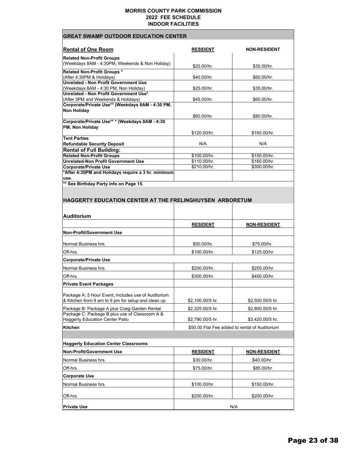| <b>GREAT SWAMP OUTDOOR EDUCATION CENTER</b>                                   |                              |                                                                    |  |  |
|-------------------------------------------------------------------------------|------------------------------|--------------------------------------------------------------------|--|--|
| <b>Rental of One Room</b>                                                     | <b>RESIDENT</b>              | <b>NON-RESIDENT</b>                                                |  |  |
| <b>Related Non-Profit Groups</b>                                              |                              |                                                                    |  |  |
| (Weekdays 8AM - 4:30PM, Weekends & Non Holiday)                               | \$20.00/hr.                  | \$30.00/hr.                                                        |  |  |
| <b>Related Non-Profit Groups *</b>                                            |                              |                                                                    |  |  |
| (After 4:30PM & Holidays)<br><b>Unrelated - Non Profit Government Use</b>     | \$40.00/hr.                  | \$60.00/hr.                                                        |  |  |
| (Weekdays 8AM - 4:30 PM, Non Holiday)                                         | \$25.00/hr.                  | \$35.00/hr.                                                        |  |  |
| Unrelated - Non Profit Government Use*<br>(After 3PM and Weekends & Holidays) | \$45.00/hr.                  | \$65.00/hr.                                                        |  |  |
| Corporate/Private Use** (Weekdays 8AM - 4:30 PM,                              |                              |                                                                    |  |  |
| <b>Non Holiday</b>                                                            |                              |                                                                    |  |  |
| Corporate/Private Use** * (Weekdays 8AM - 4:30                                | \$60.00/hr.                  | \$80.00/hr.                                                        |  |  |
| PM, Non Holiday                                                               |                              |                                                                    |  |  |
| <b>Tent Parties</b>                                                           | \$120.00/hr.                 | \$160.00/hr.                                                       |  |  |
| <b>Refundable Security Deposit</b>                                            | N/A                          | N/A                                                                |  |  |
| <b>Rental of Full Building:</b>                                               |                              |                                                                    |  |  |
| <b>Related Non-Profit Groups</b>                                              | \$100.00/hr.                 | \$150.00/hr.                                                       |  |  |
| <b>Unrelated-Non Profit Government Use</b><br><b>Corporate/Private Use</b>    | \$110.00/hr.<br>\$210.00/hr. | \$160.00/hr.<br>\$300.00/hr.                                       |  |  |
| *After 4:30PM and Holidays require a 3 hr. minimum                            |                              |                                                                    |  |  |
| use.<br>** See Birthday Party info on Page 15.                                |                              |                                                                    |  |  |
|                                                                               |                              |                                                                    |  |  |
|                                                                               |                              |                                                                    |  |  |
| <b>HAGGERTY EDUCATION CENTER AT THE FRELINGHUYSEN ARBORETUM</b>               |                              |                                                                    |  |  |
|                                                                               |                              |                                                                    |  |  |
|                                                                               |                              |                                                                    |  |  |
| <b>Auditorium</b>                                                             |                              |                                                                    |  |  |
|                                                                               | <b>RESIDENT</b>              | <b>NON-RESIDENT</b>                                                |  |  |
| <b>Non-Profit/Government Use</b>                                              |                              |                                                                    |  |  |
|                                                                               |                              |                                                                    |  |  |
| Normal Business hrs.                                                          | \$50.00/hr.                  | \$75.00/hr.                                                        |  |  |
| Off-hrs.                                                                      | \$100.00/hr.                 | \$125.00/hr.                                                       |  |  |
| <b>Corporate/Private Use</b>                                                  |                              |                                                                    |  |  |
| Normal Business hrs.                                                          | \$200.00/hr.                 | \$250.00/hr.                                                       |  |  |
| Off-hrs.                                                                      | \$300.00/hr.                 | \$400.00/hr.                                                       |  |  |
| <b>Private Event Packages</b>                                                 |                              |                                                                    |  |  |
| Package A: 5 Hour Event, Includes use of Auditorium                           |                              |                                                                    |  |  |
| & Kitchen from 9 am to 9 pm for setup and clean up                            | \$2,100.00/5 hr.             | \$2,500.00/5 hr.                                                   |  |  |
| Package B: Package A plus Craig Garden Rental                                 | \$2,325.00/5 hr.             | \$2,800.00/5 hr.                                                   |  |  |
| Package C: Package B plus use of Classroom A &                                |                              |                                                                    |  |  |
| <b>Haggerty Education Center Patio</b><br>Kitchen                             | \$2,790.00/5 hr.             | \$3,420.00/5 hr.<br>\$50.00 Flat Fee added to rental of Auditorium |  |  |
|                                                                               |                              |                                                                    |  |  |
|                                                                               |                              |                                                                    |  |  |
| <b>Haggerty Education Center Classrooms</b>                                   |                              |                                                                    |  |  |
| <b>Non-Profit/Government Use</b>                                              | <b>RESIDENT</b>              | <b>NON-RESIDENT</b>                                                |  |  |
| Normal Business hrs.                                                          | \$30.00/hr.                  | \$40.00/hr.                                                        |  |  |
| Off-hrs.                                                                      | \$75.00/hr.                  | \$85.00/hr.                                                        |  |  |
| <b>Corporate Use</b>                                                          |                              |                                                                    |  |  |
| Normal Business hrs.                                                          | \$100.00/hr.                 | \$150.00/hr.                                                       |  |  |
| Off-hrs.                                                                      | \$200.00/hr.                 | \$200.00/hr.                                                       |  |  |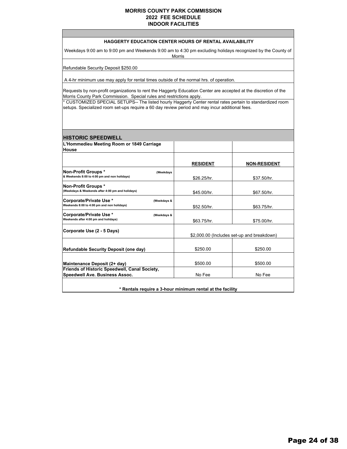### **HAGGERTY EDUCATION CENTER HOURS OF RENTAL AVAILABILITY**

Weekdays 9:00 am to 9:00 pm and Weekends 9:00 am to 4:30 pm excluding holidays recognized by the County of Morris

Refundable Security Deposit \$250.00

A 4-hr minimum use may apply for rental times outside of the normal hrs. of operation.

Requests by non-profit organizations to rent the Haggerty Education Center are accepted at the discretion of the Morris County Park Commission. Special rules and restrictions apply.

\* CUSTOMIZED SPECIAL SETUPS-- The listed hourly Haggerty Center rental rates pertain to standardized room setups. Specialized room set-ups require a 60 day review period and may incur additional fees.

### **L'Hommedieu Meeting Room or 1849 Carriage House RESIDENT NON-RESIDENT Non-Profit Groups \* (Weekdays & Weekends 8:00 to 4:00 pm and non holidays)** \$26.25/hr. \$37.50/hr. **Non-Profit Groups \* (Weekdays & Weekends after 4:00 pm and holidays)**  $$45.00/hr.$  \$67.50/hr. **Corporate/Private Use \* (Weekdays & Weekends 8:00 to 4:00 pm and non holidays)** \$52.50/hr. \$63.75/hr. **Corporate/Private Use \* (Weekdays &**  Weekends after 4:00 pm and holidays) **\$63.75/hr.** \$75.00/hr. **Corporate Use (2 - 5 Days) Refundable Security Deposit (one day)** \$250.00 \$250.00 **Maintenance Deposit (2+ day)**  $\begin{array}{ccc} 1 & 0 & 0 & 0 \\ 0 & 0 & 0 & 0 \\ 0 & 0 & 0 & 0 \\ 0 & 0 & 0 & 0 \end{array}$ **Friends of Historic Speedwell, Canal Society, Speedwell Ave. Business Assoc.** And More No Fee No Fee No Fee No Fee No Fee No Fee No Fee No Fee No Fee No Fee No Fee \$2,000.00 (Includes set-up and breakdown) **\* Rentals require a 3-hour minimum rental at the facility HISTORIC SPEEDWELL**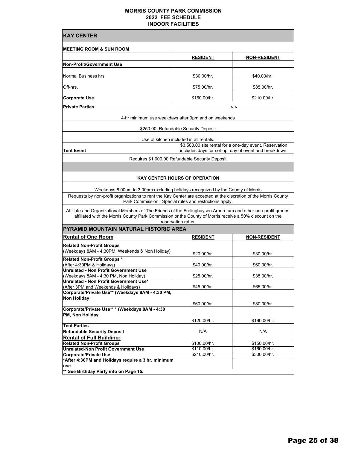| <b>KAY CENTER</b>                                                                                                                                                                                                                               |                                                        |                                                                                                                  |  |  |  |
|-------------------------------------------------------------------------------------------------------------------------------------------------------------------------------------------------------------------------------------------------|--------------------------------------------------------|------------------------------------------------------------------------------------------------------------------|--|--|--|
| <b>MEETING ROOM &amp; SUN ROOM</b>                                                                                                                                                                                                              |                                                        |                                                                                                                  |  |  |  |
|                                                                                                                                                                                                                                                 | <b>RESIDENT</b>                                        | <b>NON-RESIDENT</b>                                                                                              |  |  |  |
| <b>Non-Profit/Government Use</b>                                                                                                                                                                                                                |                                                        |                                                                                                                  |  |  |  |
| Normal Business hrs.                                                                                                                                                                                                                            | \$30.00/hr.                                            | \$40.00/hr.                                                                                                      |  |  |  |
| Off-hrs.                                                                                                                                                                                                                                        | \$75.00/hr.                                            | \$85.00/hr.                                                                                                      |  |  |  |
| <b>Corporate Use</b>                                                                                                                                                                                                                            | \$160.00/hr.                                           | \$210.00/hr.                                                                                                     |  |  |  |
| <b>Private Parties</b>                                                                                                                                                                                                                          |                                                        | N/A                                                                                                              |  |  |  |
|                                                                                                                                                                                                                                                 | 4-hr minimum use weekdays after 3pm and on weekends    |                                                                                                                  |  |  |  |
|                                                                                                                                                                                                                                                 | \$250.00 Refundable Security Deposit                   |                                                                                                                  |  |  |  |
|                                                                                                                                                                                                                                                 | Use of kitchen included in all rentals.                |                                                                                                                  |  |  |  |
| Tent Event                                                                                                                                                                                                                                      |                                                        | \$3,500.00 site rental for a one-day event. Reservation<br>includes days for set-up, day of event and breakdown. |  |  |  |
|                                                                                                                                                                                                                                                 | Requires \$1,000.00 Refundable Security Deposit        |                                                                                                                  |  |  |  |
|                                                                                                                                                                                                                                                 |                                                        |                                                                                                                  |  |  |  |
|                                                                                                                                                                                                                                                 | <b>KAY CENTER HOURS OF OPERATION</b>                   |                                                                                                                  |  |  |  |
|                                                                                                                                                                                                                                                 |                                                        |                                                                                                                  |  |  |  |
| Weekdays 8:00am to 3:00pm excluding holidays recognized by the County of Morris<br>Requests by non-profit organizations to rent the Kay Center are accepted at the discretion of the Morris County                                              |                                                        |                                                                                                                  |  |  |  |
|                                                                                                                                                                                                                                                 | Park Commission. Special rules and restrictions apply. |                                                                                                                  |  |  |  |
| Affiliate and Organizational Members of The Friends of the Frelinghuysen Arboretum and other non-profit groups<br>affiliated with the Morris County Park Commission or the County of Morris receive a 50% discount on the<br>reservation rates. |                                                        |                                                                                                                  |  |  |  |
| PYRAMID MOUNTAIN NATURAL HISTORIC AREA                                                                                                                                                                                                          |                                                        |                                                                                                                  |  |  |  |
| <b>Rental of One Room</b>                                                                                                                                                                                                                       | <b>RESIDENT</b>                                        | <u>NON-RESIDENT</u>                                                                                              |  |  |  |
| <b>Related Non-Profit Groups</b><br>(Weekdays 8AM - 4:30PM, Weekends & Non Holiday)                                                                                                                                                             | \$20.00/hr.                                            | \$30.00/hr.                                                                                                      |  |  |  |
| <b>Related Non-Profit Groups *</b>                                                                                                                                                                                                              |                                                        |                                                                                                                  |  |  |  |
| (After 4:30PM & Holidays)<br><b>Unrelated - Non Profit Government Use</b>                                                                                                                                                                       | \$40.00/hr.                                            | \$60.00/hr.                                                                                                      |  |  |  |
| (Weekdays 8AM - 4:30 PM, Non Holiday)                                                                                                                                                                                                           | \$25.00/hr.                                            | \$35.00/hr.                                                                                                      |  |  |  |
| Unrelated - Non Profit Government Use*                                                                                                                                                                                                          |                                                        |                                                                                                                  |  |  |  |
| (After 3PM and Weekends & Holidays)<br>Corporate/Private Use** (Weekdays 8AM - 4:30 PM,                                                                                                                                                         | \$45.00/hr.                                            | \$65.00/hr.                                                                                                      |  |  |  |
| <b>Non Holiday</b>                                                                                                                                                                                                                              |                                                        |                                                                                                                  |  |  |  |
|                                                                                                                                                                                                                                                 | \$60.00/hr.                                            | \$80.00/hr.                                                                                                      |  |  |  |
| Corporate/Private Use** * (Weekdays 8AM - 4:30<br>PM, Non Holiday                                                                                                                                                                               |                                                        |                                                                                                                  |  |  |  |
|                                                                                                                                                                                                                                                 | \$120.00/hr.                                           | \$160.00/hr.                                                                                                     |  |  |  |
| <b>Tent Parties</b><br><b>Refundable Security Deposit</b>                                                                                                                                                                                       | N/A                                                    | N/A                                                                                                              |  |  |  |
| <b>Rental of Full Building:</b>                                                                                                                                                                                                                 |                                                        |                                                                                                                  |  |  |  |
| <b>Related Non-Profit Groups</b>                                                                                                                                                                                                                | \$100.00/hr.                                           | \$150.00/hr.                                                                                                     |  |  |  |
| <b>Unrelated-Non Profit Government Use</b>                                                                                                                                                                                                      | \$110.00/hr.                                           | \$160.00/hr.                                                                                                     |  |  |  |
| <b>Corporate/Private Use</b>                                                                                                                                                                                                                    | \$210.00/hr.                                           | \$300.00/hr.                                                                                                     |  |  |  |
| *After 4:30PM and Holidays require a 3 hr. minimum<br>use.                                                                                                                                                                                      |                                                        |                                                                                                                  |  |  |  |
| ** See Birthday Party info on Page 15.                                                                                                                                                                                                          |                                                        |                                                                                                                  |  |  |  |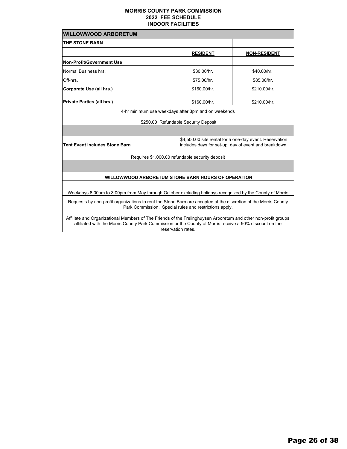| <b>WILLOWWOOD ARBORETUM</b>                                                                                                                                                                                               |                                                     |                     |  |
|---------------------------------------------------------------------------------------------------------------------------------------------------------------------------------------------------------------------------|-----------------------------------------------------|---------------------|--|
| <b>THE STONE BARN</b>                                                                                                                                                                                                     |                                                     |                     |  |
|                                                                                                                                                                                                                           | <b>RESIDENT</b>                                     | <b>NON-RESIDENT</b> |  |
| <b>Non-Profit/Government Use</b>                                                                                                                                                                                          |                                                     |                     |  |
| Normal Business hrs.                                                                                                                                                                                                      | \$30.00/hr.                                         | \$40.00/hr.         |  |
| Off-hrs.                                                                                                                                                                                                                  | \$75.00/hr.                                         | \$85.00/hr.         |  |
| Corporate Use (all hrs.)                                                                                                                                                                                                  | \$160.00/hr.                                        | \$210.00/hr.        |  |
| Private Parties (all hrs.)                                                                                                                                                                                                | \$160.00/hr.                                        | \$210.00/hr.        |  |
|                                                                                                                                                                                                                           | 4-hr minimum use weekdays after 3pm and on weekends |                     |  |
|                                                                                                                                                                                                                           | \$250.00 Refundable Security Deposit                |                     |  |
|                                                                                                                                                                                                                           |                                                     |                     |  |
| \$4,500.00 site rental for a one-day event. Reservation<br><b>Tent Event includes Stone Barn</b><br>includes days for set-up, day of event and breakdown.                                                                 |                                                     |                     |  |
| Requires \$1,000.00 refundable security deposit                                                                                                                                                                           |                                                     |                     |  |
|                                                                                                                                                                                                                           |                                                     |                     |  |
| WILLOWWOOD ARBORETUM STONE BARN HOURS OF OPERATION                                                                                                                                                                        |                                                     |                     |  |
|                                                                                                                                                                                                                           |                                                     |                     |  |
| Weekdays 8:00am to 3:00pm from May through October excluding holidays recognized by the County of Morris                                                                                                                  |                                                     |                     |  |
| Requests by non-profit organizations to rent the Stone Barn are accepted at the discretion of the Morris County<br>Park Commission. Special rules and restrictions apply.                                                 |                                                     |                     |  |
| Affiliate and Organizational Members of The Friends of the Frelinghuysen Arboretum and other non-profit groups<br>affiliated with the Morris County Park Commission or the County of Morris receive a 50% discount on the |                                                     |                     |  |

reservation rates.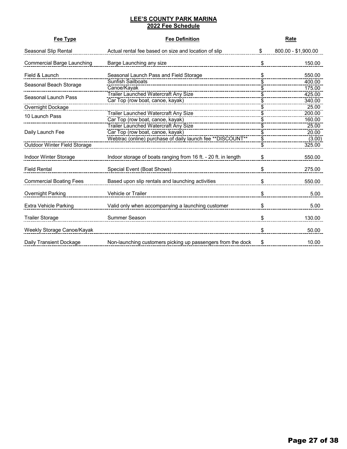### **LEE'S COUNTY PARK MARINA 2022 Fee Schedule**

| Fee Type                          | <b>Fee Definition</b>                                                           |          | Rate                |
|-----------------------------------|---------------------------------------------------------------------------------|----------|---------------------|
| Seasonal Slip Rental              | Actual rental fee based on size and location of slip                            | \$       | 800.00 - \$1,900.00 |
| <b>Commercial Barge Launching</b> | Barge Launching any size                                                        | \$       | 150.00              |
| Field & Launch                    | Seasonal Launch Pass and Field Storage                                          | \$       | 550.00              |
| Seasonal Beach Storage            | <b>Sunfish Sailboats</b><br>Canoe/Kayak                                         | \$       | 400.00<br>175.00    |
| Seasonal Launch Pass              | Trailer Launched Watercraft Any Size<br>Car Top (row boat, canoe, kayak)        | \$       | 425.00<br>340.00    |
| Overnight Dockage                 |                                                                                 |          | 25.00               |
| 10 Launch Pass                    | Trailer Launched Watercraft Any Size<br>Car Top (row boat, canoe, kayak)        | \$<br>\$ | 200.00<br>160.00    |
| Daily Launch Fee                  | <b>Trailer Launched Watercraft Any Size</b><br>Car Top (row boat, canoe, kayak) | \$<br>\$ | 25.00<br>20.00      |
| Outdoor Winter Field Storage      | Webtrac (online) purchase of daily launch fee ** DISCOUNT**                     | \$<br>\$ | (3.00)<br>325.00    |
| Indoor Winter Storage             | Indoor storage of boats ranging from 16 ft. - 20 ft. in length                  | \$       | 550.00              |
| <b>Field Rental</b>               | Special Event (Boat Shows)                                                      | \$       | 275.00              |
| <b>Commercial Boating Fees</b>    | Based upon slip rentals and launching activities                                | \$       | 550.00              |
| Overnight Parking                 | <b>Vehicle or Trailer</b>                                                       | \$       | 5.00                |
| <b>Extra Vehicle Parking</b>      | Valid only when accompanying a launching customer                               | \$       | 5.00                |
| <b>Trailer Storage</b>            | Summer Season                                                                   | \$       | 130.00              |
| Weekly Storage Canoe/Kayak        |                                                                                 | \$       | 50.00               |
| Daily Transient Dockage           | Non-launching customers picking up passengers from the dock                     | \$       | 10.00               |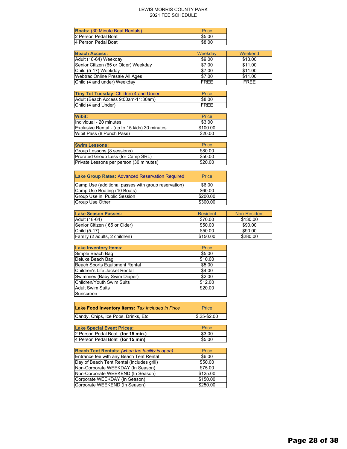### LEWIS MORRIS COUNTY PARK 2021 FEE SCHEDULE

| <b>Boats: (30 Minute Boat Rentals)</b> | Price  |
|----------------------------------------|--------|
| 2 Person Pedal Boat                    | \$5.00 |
| 4 Person Pedal Boat                    | \$8.00 |

| <b>Beach Access:</b>                 | Weekdav     | Weekend     |
|--------------------------------------|-------------|-------------|
| Adult (18-64) Weekday                | \$9.00      | \$13.00     |
| Senior Citizen (65 or Older) Weekday | \$7.00      | \$11.00     |
| Child (5-17) Weekday                 | \$7.00      | \$11.00     |
| Webtrac Online Presale All Ages      | \$7.00      | \$11.00     |
| Child (4 and under) Weekday          | <b>FREE</b> | <b>FRFF</b> |

| Tiny Tot Tuesday- Children 4 and Under | <b>Price</b> |
|----------------------------------------|--------------|
| Adult (Beach Access 9:00am-11:30am)    | \$8.00       |
| Child (4 and Under)                    | FRFF         |

| <b>Wibit:</b>                                 | Price    |
|-----------------------------------------------|----------|
| Individual - 20 minutes                       | \$3.00   |
| Exclusive Rental - (up to 15 kids) 30 minutes | \$100.00 |
| Wibit Pass (8 Punch Pass)                     | \$20.00  |

| <b>Swim Lessons:</b>                    | Price   |
|-----------------------------------------|---------|
| Group Lessons (8 sessions)              | \$80.00 |
| Prorated Group Less (for Camp SRL)      | \$50.00 |
| Private Lessons per person (30 minutes) | \$20.00 |

| <b>Lake Group Rates: Advanced Reservation Required</b> | Price    |
|--------------------------------------------------------|----------|
| Camp Use (additional passes with group reservation)    | \$6.00   |
| Camp Use Boating (10 Boats)                            | \$60.00  |
| Group Use in Public Session                            | \$200.00 |
| <b>Group Use Other</b>                                 | \$300.00 |

| <b>Lake Season Passes:</b>    | Resident | Non-Resident |
|-------------------------------|----------|--------------|
| Adult (18-64)                 | \$70.00  | \$130.00     |
| Senior Citizen (65 or Older)  | \$50.00  | \$90.00      |
| $ Child (5-17)$               | \$50.00  | \$90.00      |
| Family (2 adults, 2 children) | \$150.00 | \$280.00     |

| <b>Lake Inventory Items:</b>  | Price   |
|-------------------------------|---------|
| Simple Beach Bag              | \$5.00  |
| Deluxe Beach Bag              | \$10.00 |
| Beach Sports Equipment Rental | \$5.00  |
| Children's Life Jacket Rental | \$4.00  |
| Swimmies (Baby Swim Diaper)   | \$2.00  |
| Children/Youth Swim Suits     | \$12.00 |
| <b>Adult Swim Suits</b>       | \$20.00 |
| Sunscreen                     |         |

| Lake Food Inventory Items: Tax Included in Price | Price          |
|--------------------------------------------------|----------------|
| Candy, Chips, Ice Pops, Drinks, Etc.             | $$.25 - $2.00$ |

| <b>Lake Special Event Prices:</b> | <b>Price</b> |
|-----------------------------------|--------------|
| 2 Person Pedal Boat (for 15 min.) | \$3.00       |
| 4 Person Pedal Boat (for 15 min)  | \$5.00       |

| Beach Tent Rentals: (when the facility is open) | Price    |
|-------------------------------------------------|----------|
| Entrance fee with any Beach Tent Rental         | \$6.00   |
| Day of Beach Tent Rental (includes grill)       | \$50.00  |
| Non-Corporate WEEKDAY (In Season)               | \$75.00  |
| Non-Corporate WEEKEND (In Season)               | \$125.00 |
| Corporate WEEKDAY (In Season)                   | \$150.00 |
| Corporate WEEKEND (In Season)                   | \$250.00 |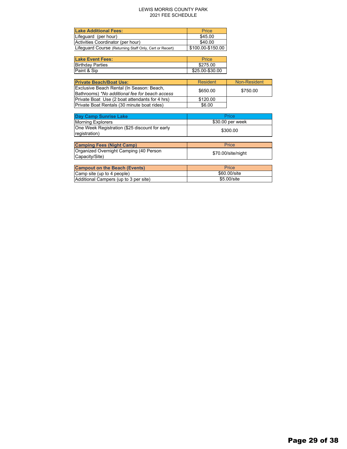### LEWIS MORRIS COUNTY PARK 2021 FEE SCHEDULE

| <b>Lake Additional Fees:</b>                            | <b>Price</b>      |
|---------------------------------------------------------|-------------------|
| Lifequard (per hour)                                    | \$45.00           |
| Activities Coordinator (per hour)                       | \$40.00           |
| Lifeguard Course (Returning Staff Only, Cert or Recert) | \$100.00-\$150.00 |

| <b>Lake Event Fees:</b> | <b>Price</b>    |
|-------------------------|-----------------|
| <b>Birthday Parties</b> | \$275.00        |
| Paint & Sip             | \$25.00-\$30.00 |

| <b>Private Beach/Boat Use:</b>                 | <b>Resident</b> | Non-Resident |
|------------------------------------------------|-----------------|--------------|
| Exclusive Beach Rental (In Season: Beach,      | \$650.00        | \$750.00     |
| Bathrooms) *No additional fee for beach access |                 |              |
| Private Boat Use (2 boat attendants for 4 hrs) | \$120.00        |              |
| Private Boat Rentals (30 minute boat rides)    | \$6.00          |              |

| <b>Day Camp Sunrise Lake</b>                                    | Price              |
|-----------------------------------------------------------------|--------------------|
| <b>Morning Explorers</b>                                        | \$30.00 per week   |
| One Week Registration (\$25 discount for early<br>registration) | \$300.00           |
|                                                                 |                    |
| <b>Camping Fees (Night Camp)</b>                                | Price              |
| Organized Overnight Camping (40 Person                          | \$70.00/site/night |
| Capacity/Site)                                                  |                    |
|                                                                 |                    |
| <b>Campout on the Beach (Events)</b>                            | Price              |
| Camp site (up to 4 people)                                      | \$60,00/site       |
| Additional Campers (up to 3 per site)                           | \$5.00/site        |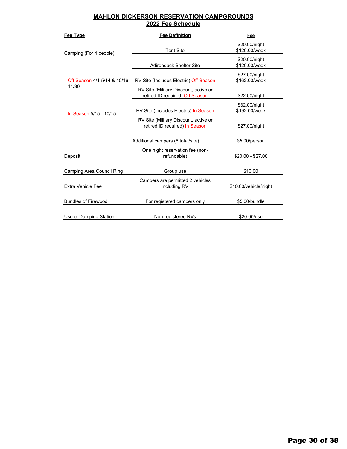### **MAHLON DICKERSON RESERVATION CAMPGROUNDS 2022 Fee Schedule**

| Fee Type                     | <b>Fee Definition</b>                                                    | Fee                            |
|------------------------------|--------------------------------------------------------------------------|--------------------------------|
| Camping (For 4 people)       | <b>Tent Site</b>                                                         | \$20.00/night<br>\$120.00/week |
|                              | <b>Adirondack Shelter Site</b>                                           | \$20.00/night<br>\$120.00/week |
| Off Season 4/1-5/14 & 10/16- | RV Site (Includes Electric) Off Season                                   | \$27.00/night<br>\$162.00/week |
| 11/30                        | RV Site (Military Discount, active or<br>retired ID required) Off Season | \$22.00/night                  |
| In Season 5/15 - 10/15       | RV Site (Includes Electric) In Season                                    | \$32.00/night<br>\$192.00/week |
|                              | RV Site (Military Discount, active or<br>retired ID required) In Season  | \$27.00/night                  |
|                              | Additional campers (6 total/site)                                        | \$5.00/person                  |
| Deposit                      | One night reservation fee (non-<br>refundable)                           | \$20.00 - \$27.00              |
| Camping Area Council Ring    | Group use                                                                | \$10.00                        |
| Extra Vehicle Fee            | Campers are permitted 2 vehicles<br>including RV                         | \$10.00/vehicle/night          |
| <b>Bundles of Firewood</b>   | For registered campers only                                              | \$5.00/bundle                  |
| Use of Dumping Station       | Non-registered RVs                                                       | \$20.00/use                    |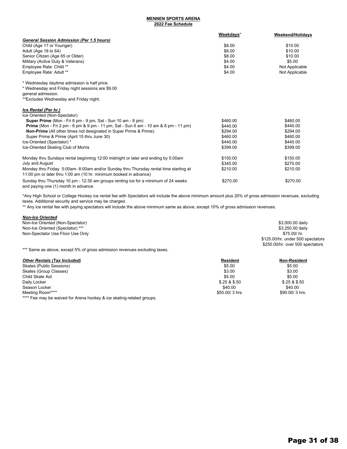### **2022 Fee Schedule MENNEN SPORTS ARENA**

|                                                                                                                                                           | Weekdays* | <b>Weekend/Holidays</b> |
|-----------------------------------------------------------------------------------------------------------------------------------------------------------|-----------|-------------------------|
| <b>General Session Admission (Per 1.5 hours)</b>                                                                                                          |           |                         |
| Child (Age 17 or Younger)                                                                                                                                 | \$8.00    | \$10.00                 |
| Adult (Age 18 to 64)                                                                                                                                      | \$8.00    | \$10.00                 |
| Senior Citizen (Age 65 or Older)                                                                                                                          | \$8.00    | \$10.00                 |
| Military (Active Duty & Veterans)                                                                                                                         | \$4.00    | \$5.00                  |
| Employee Rate: Child **                                                                                                                                   | \$4.00    | Not Applicable          |
| Employee Rate: Adult **                                                                                                                                   | \$4.00    | Not Applicable          |
| * Wednesday daytime admission is half price.                                                                                                              |           |                         |
| * Wednesday and Friday night sessions are \$9.00                                                                                                          |           |                         |
| general admission.                                                                                                                                        |           |                         |
| **Excludes Wednesday and Friday night.                                                                                                                    |           |                         |
| Ice Rental (Per hr.)                                                                                                                                      |           |                         |
| Ice Oriented (Non-Spectator)                                                                                                                              |           |                         |
| Super Prime (Mon - Fri 6 pm - 9 pm, Sat - Sun 10 am - 8 pm)                                                                                               | \$460.00  | \$460.00                |
| <b>Prime</b> (Mon - Fri 2 pm - 6 pm & 9 pm - 11 pm, Sat - Sun 6 am - 10 am & 8 pm - 11 pm)                                                                | \$440.00  | \$440.00                |
| Non-Prime (All other times not designated in Super Prime & Prime)                                                                                         | \$294.00  | \$294.00                |
| Super Prime & Prime (April 15 thru June 30)                                                                                                               | \$460.00  | \$460.00                |
| Ice-Oriented (Spectator) *                                                                                                                                | \$440.00  | \$440.00                |
| Ice-Oriented Skating Club of Morris                                                                                                                       | \$399.00  | \$399.00                |
| Monday thru Sundays rental beginning 12:00 midnight or later and ending by 5:00am                                                                         | \$150.00  | \$150.00                |
| July and August                                                                                                                                           | \$345.00  | \$270.00                |
| Monday thru Friday 5:00am-8:00am and/or Sunday thru Thursday rental time starting at<br>11:00 pm or later thru 1:00 am (10 hr. minimum booked in advance) | \$210.00  | \$210.00                |
| Sunday thru Thursday 10 pm - 12:30 am groups renting ice for a minimum of 24 weeks<br>and paying one (1) month in advance                                 | \$270.00  | \$270.00                |

\*Any High School or College Hockey ice rental fee with Spectators will include the above minimum amount plus 20% of gross admission revenues, excluding taxes. Additional security and service may be charged.

\*\* Any ice rental fee with paying spectators will include the above minimum same as above, except 10% of gross admission revenues.

| <b>Non-Ice Oriented</b>          |                                   |
|----------------------------------|-----------------------------------|
| Non-Ice Oriented (Non-Spectator) | \$3,000.00 daily                  |
| Non-Ice Oriented (Spectator) *** | \$3,250.00 daily                  |
| Non-Spectator Use Floor Use Only | \$75.00/ hr.                      |
|                                  | \$125.00/hr. under 500 spectators |
|                                  | \$250.00/hr. over 500 spectators  |

\*\*\* Same as above, except 5% of gross admission revenues excluding taxes.

| <b>Other Rentals (Tax Included)</b>                                  | <b>Resident</b> | <b>Non-Resident</b> |
|----------------------------------------------------------------------|-----------------|---------------------|
| Skates (Public Sessions)                                             | \$5.00          | \$5.00              |
| Skates (Group Classes)                                               | \$3.00          | \$3.00              |
| Child Skate Aid                                                      | \$5.00          | \$5.00              |
| Daily Locker                                                         | \$.25 & \$.50   | \$.25 & \$.50       |
| Season Locker                                                        | \$40.00         | \$40.00             |
| Meeting Room****                                                     | \$50,00/3 hrs.  | $$90.00/3$ hrs.     |
| **** Fee may be waived for Arena hockey & ice skating-related groups |                 |                     |

Fee may be waived for Arena hockey & ice skating-related groups.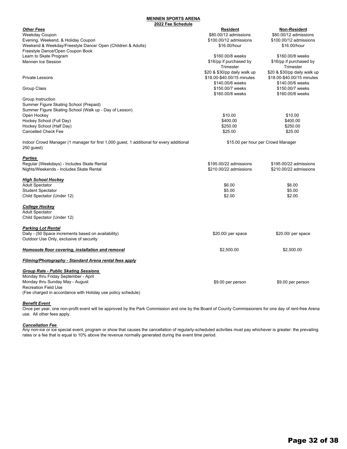### **2022 Fee Schedule MENNEN SPORTS ARENA**

|                                                                                          | - 1 99 991199819                     |                                      |
|------------------------------------------------------------------------------------------|--------------------------------------|--------------------------------------|
| <b>Other Fees</b>                                                                        | <b>Resident</b>                      | Non-Resident                         |
| Weekday Coupon                                                                           | \$80.00/12 admissions                | \$80.00/12 admissions                |
| Evening, Weekend, & Holiday Coupon                                                       | \$100.00/12 admissions               | \$100.00/12 admissions               |
| Weekend & Weekday/Freestyle Dance/ Open (Children & Adults)                              | \$16.00/hour                         | \$16.00/hour                         |
| Freestyle Dance/Open Coupon Book                                                         |                                      |                                      |
| Learn to Skate Program                                                                   | \$160,00/8 weeks                     | \$160,00/8 weeks                     |
| <b>Mennen Ice Session</b>                                                                | \$16/pp if purchased by<br>Trimester | \$16/pp if purchased by<br>Trimester |
|                                                                                          | \$20 & \$30/pp daily walk up         | \$20 & \$30/pp daily walk up         |
| <b>Private Lessons</b>                                                                   | \$18.00-\$40.00/15 minutes           | \$18.00-\$40.00/15 minutes           |
|                                                                                          | \$140.00/6 weeks                     | \$140.00/6 weeks                     |
| Group Class                                                                              | \$150.00/7 weeks                     | \$150.00/7 weeks                     |
|                                                                                          | \$160.00/8 weeks                     | \$160,00/8 weeks                     |
| Group Instruction                                                                        |                                      |                                      |
| Summer Figure Skating School (Prepaid)                                                   |                                      |                                      |
| Summer Figure Skating School (Walk up - Day of Lesson)                                   |                                      |                                      |
| Open Hockey                                                                              | \$10.00                              | \$10.00                              |
| Hockey School (Full Day)                                                                 | \$400.00                             | \$400.00                             |
| Hockey School (Half Day)                                                                 | \$250.00                             | \$250.00                             |
| <b>Cancelled Check Fee</b>                                                               | \$25.00                              | \$25.00                              |
| Indoor Crowd Manager (1 manager for first 1,000 guest, 1 additional for every additional |                                      | \$15.00 per hour per Crowd Manager   |
| 250 guest)                                                                               |                                      |                                      |
| Parties                                                                                  |                                      |                                      |
| Regular (Weekdays) - Includes Skate Rental                                               | \$195,00/22 admissions               | \$195,00/22 admissions               |
| Nights/Weekends - Includes Skate Rental                                                  | \$210.00/22 admissions               | \$210.00/22 admissions               |
|                                                                                          |                                      |                                      |
| <u>High School Hockey</u>                                                                |                                      |                                      |
| <b>Adult Spectator</b>                                                                   | \$6.00                               | \$6.00                               |
| <b>Student Spectator</b>                                                                 | \$5.00                               | \$5.00                               |
| Child Spectator (Under 12)                                                               | \$2.00                               | \$2.00                               |
| <b>College Hockey</b>                                                                    |                                      |                                      |
| <b>Adult Spectator</b>                                                                   |                                      |                                      |
| Child Spectator (Under 12)                                                               |                                      |                                      |
| <b>Parking Lot Rental</b>                                                                |                                      |                                      |
| Daily - (50 Space increments based on availability)                                      |                                      |                                      |
| Outdoor Use Only, exclusive of security                                                  | $$20.00/$ per space                  | \$20.00/ per space                   |
|                                                                                          |                                      |                                      |
| Homosote floor covering, installation and removal                                        | \$2,500.00                           | \$2,500.00                           |
| Filming/Photography - Standard Arena rental fees apply                                   |                                      |                                      |
| <b>Group Rate - Public Skating Sessions</b>                                              |                                      |                                      |
| Monday thru Friday September - April                                                     |                                      |                                      |
| Monday thru Sunday May - August                                                          | \$9.00 per person                    | \$9.00 per person                    |
| <b>Recreation Field Use</b>                                                              |                                      |                                      |
| (Fee charged in accordance with Holiday use policy schedule)                             |                                      |                                      |

### *Benefit Event*

Once per year, one non-profit event will be approved by the Park Commission and one by the Board of County Commissioners for one day of rent-free Arena use. All other fees apply.

### *Cancellation Fee*

Any non-ice or ice special event, program or show that causes the cancellation of regularly-scheduled activities must pay whichever is greater: the prevailing rates or a fee that is equal to 10% above the revenue normally generated during the event time period.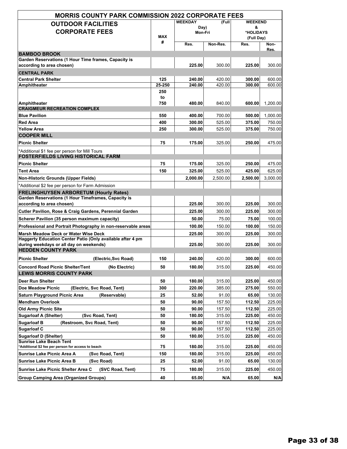| <b>MORRIS COUNTY PARK COMMISSION 2022 CORPORATE FEES</b>                                    |                |                 |          |                              |          |  |
|---------------------------------------------------------------------------------------------|----------------|-----------------|----------|------------------------------|----------|--|
| <b>OUTDOOR FACILITIES</b>                                                                   | <b>WEEKDAY</b> |                 | (Full    | <b>WEEKEND</b>               |          |  |
| <b>CORPORATE FEES</b>                                                                       | MAX            | Day)<br>Mon-Fri |          | &<br>*HOLIDAYS<br>(Full Day) |          |  |
|                                                                                             | #              | Res.            | Non-Res. | Res.                         | Non-     |  |
| <b>BAMBOO BROOK</b>                                                                         |                |                 |          |                              | Res.     |  |
| Garden Reservations (1 Hour Time frames, Capacity is                                        |                |                 |          |                              |          |  |
| according to area chosen)                                                                   |                | 225.00          | 300.00   | 225.00                       | 300.00   |  |
| <b>CENTRAL PARK</b>                                                                         |                |                 |          |                              |          |  |
| <b>Central Park Shelter</b>                                                                 | 125            | 240.00          | 420.00   | 300.00                       | 600.00   |  |
| Amphitheater                                                                                | 25-250         | 240.00          | 420.00   | 300.00                       | 600.00   |  |
|                                                                                             | 250<br>to      |                 |          |                              |          |  |
| Amphitheater                                                                                | 750            | 480.00          | 840.00   | 600.00                       | 1,200.00 |  |
| <b>CRAIGMEUR RECREATION COMPLEX</b>                                                         |                |                 |          |                              |          |  |
| <b>Blue Pavilion</b>                                                                        | 550            | 400.00          | 700.00   | 500.00                       | 1,000.00 |  |
| <b>Red Area</b>                                                                             | 400            | 300.00          | 525.00   | 375.00                       | 750.00   |  |
| <b>Yellow Area</b>                                                                          | 250            | 300.00          | 525.00   | 375.00                       | 750.00   |  |
| <b>COOPER MILL</b>                                                                          |                |                 |          |                              |          |  |
| <b>Picnic Shelter</b>                                                                       | 75             | 175.00          | 325.00   | 250.00                       | 475.00   |  |
| *Additional \$1 fee per person for Mill Tours<br><b>FOSTERFIELDS LIVING HISTORICAL FARM</b> |                |                 |          |                              |          |  |
| <b>Picnic Shelter</b>                                                                       | 75             | 175.00          | 325.00   | 250.00                       | 475.00   |  |
| Tent Area                                                                                   | 150            | 325.00          | 525.00   | 425.00                       | 625.00   |  |
| <b>Non-Historic Grounds (Upper Fields)</b>                                                  |                | 2,000.00        | 2,500.00 | 2,500.00                     | 3,000.00 |  |
| *Additional \$2 fee per person for Farm Admission                                           |                |                 |          |                              |          |  |
| <b>FRELINGHUYSEN ARBORETUM (Hourly Rates)</b>                                               |                |                 |          |                              |          |  |
| Garden Reservations (1 Hour Timeframes, Capacity is                                         |                |                 |          |                              |          |  |
| according to area chosen)                                                                   |                | 225.00          | 300.00   | 225.00                       | 300.00   |  |
| Cutler Pavilion, Rose & Craig Gardens, Perennial Garden                                     |                | 225.00          | 300.00   | 225.00                       | 300.00   |  |
| Scherer Pavilion (35 person maximum capacity)                                               |                | 50.00           | 75.00    | 75.00                        | 100.00   |  |
| Professional and Portrait Photography in non-reservable areas                               |                | 100.00          | 150.00   | 100.00                       | 150.00   |  |
| <b>Marsh Meadow Deck or Water Wise Deck</b>                                                 |                | 225.00          | 300.00   | 225.00                       | 300.00   |  |
| Haggerty Education Center Patio (Only available after 4 pm                                  |                |                 |          |                              |          |  |
| during weekdays or all day on weekends)                                                     |                | 225.00          | 300.00   | 225.00                       | 300.00   |  |
| <b>HEDDEN COUNTY PARK</b>                                                                   |                |                 |          |                              |          |  |
| <b>Picnic Shelter</b><br>(Electric, Svc Road)                                               | 150            | 240.00          | 420.00   | 300.00                       | 600.00   |  |
| <b>Concord Road Picnic Shelter/Tent</b><br>(No Electric)<br><b>LEWIS MORRIS COUNTY PARK</b> | 50             | 180.00          | 315.00   | 225.00                       | 450.00   |  |
| Deer Run Shelter                                                                            | 50             | 180.00          | 315.00   | 225.00                       | 450.00   |  |
| (Electric, Svc Road, Tent)<br>Doe Meadow Picnic                                             | 300            | 220.00          | 385.00   | 275.00                       | 550.00   |  |
| <b>Saturn Playground Picnic Area</b><br>(Reservable)                                        | 25             | 52.00           | 91.00    | 65.00                        | 130.00   |  |
| <b>Mendham Overlook</b>                                                                     | 50             | 90.00           | 157.50   | 112.50                       | 225.00   |  |
| <b>Old Army Picnic Site</b>                                                                 | 50             | 90.00           | 157.50   | 112.50                       | 225.00   |  |
| <b>Sugarloaf A (Shelter)</b><br>(Svc Road, Tent)                                            | 50             | 180.00          | 315.00   | 225.00                       | 450.00   |  |
| <b>Sugarloaf B</b><br>(Restroom, Svc Road, Tent)                                            | 50             | 90.00           | 157.50   | 112.50                       | 225.00   |  |
| <b>Sugarloaf C</b>                                                                          | 50             | 90.00           | 157.50   | 112.50                       | 225.00   |  |
| <b>Sugarloaf D (Shelter)</b>                                                                | 50             | 180.00          | 315.00   | 225.00                       | 450.00   |  |
| <b>Sunrise Lake Beach Tent</b>                                                              |                |                 |          |                              |          |  |
| *Additional \$2 fee per person for access to beach                                          | 75             | 180.00          | 315.00   | 225.00                       | 450.00   |  |
| Sunrise Lake Picnic Area A<br>(Svc Road, Tent)                                              | 150            | 180.00          | 315.00   | 225.00                       | 450.00   |  |
| <b>Sunrise Lake Picnic Area B</b><br>(Svc Road)                                             | 25             | 52.00           | 91.00    | 65.00                        | 130.00   |  |
| Sunrise Lake Picnic Shelter Area C<br>(SVC Road, Tent)                                      | 75             | 180.00          | 315.00   | 225.00                       | 450.00   |  |
| <b>Group Camping Area (Organized Groups)</b>                                                | 40             | 65.00           | N/A      | 65.00                        | N/A      |  |
|                                                                                             |                |                 |          |                              |          |  |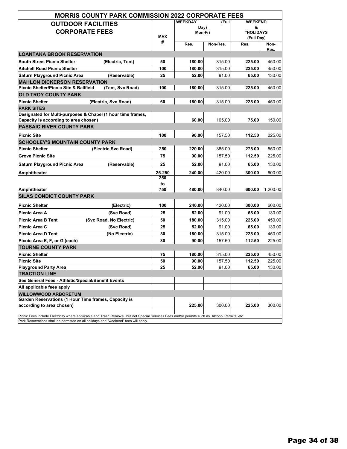|                                                                                                                                                | <b>MORRIS COUNTY PARK COMMISSION 2022 CORPORATE FEES</b> |        |        |                                   |        |              |                                                |  |
|------------------------------------------------------------------------------------------------------------------------------------------------|----------------------------------------------------------|--------|--------|-----------------------------------|--------|--------------|------------------------------------------------|--|
| <b>OUTDOOR FACILITIES</b><br><b>CORPORATE FEES</b>                                                                                             |                                                          | MAX    |        | <b>WEEKDAY</b><br>Day)<br>Mon-Fri |        | (Full        | <b>WEEKEND</b><br>&<br>*HOLIDAYS<br>(Full Day) |  |
|                                                                                                                                                |                                                          | #      | Res.   | Non-Res.                          | Res.   | Non-<br>Res. |                                                |  |
| <b>LOANTAKA BROOK RESERVATION</b>                                                                                                              |                                                          |        |        |                                   |        |              |                                                |  |
| <b>South Street Picnic Shelter</b>                                                                                                             | (Electric, Tent)                                         | 50     | 180.00 | 315.00                            | 225.00 | 450.00       |                                                |  |
| <b>Kitchell Road Picnic Shelter</b>                                                                                                            |                                                          | 100    | 180.00 | 315.00                            | 225.00 | 450.00       |                                                |  |
| <b>Saturn Playground Picnic Area</b>                                                                                                           | (Reservable)                                             | 25     | 52.00  | 91.00                             | 65.00  | 130.00       |                                                |  |
| <b>MAHLON DICKERSON RESERVATION</b>                                                                                                            |                                                          |        |        |                                   |        |              |                                                |  |
| <b>Picnic Shelter/Picnic Site &amp; Ballfield</b>                                                                                              | (Tent, Svc Road)                                         | 100    | 180.00 | 315.00                            | 225.00 | 450.00       |                                                |  |
| <b>OLD TROY COUNTY PARK</b>                                                                                                                    |                                                          |        |        |                                   |        |              |                                                |  |
| <b>Picnic Shelter</b>                                                                                                                          | (Electric, Svc Road)                                     | 60     | 180.00 | 315.00                            | 225.00 | 450.00       |                                                |  |
| <b>PARK SITES</b><br>Designated for Multi-purposes & Chapel (1 hour time frames,                                                               |                                                          |        |        |                                   |        |              |                                                |  |
| Capacity is according to area chosen)                                                                                                          |                                                          |        | 60.00  | 105.00                            | 75.00  | 150.00       |                                                |  |
| PASSAIC RIVER COUNTY PARK                                                                                                                      |                                                          |        |        |                                   |        |              |                                                |  |
| <b>Picnic Site</b>                                                                                                                             |                                                          | 100    | 90.00  | 157.50                            | 112.50 | 225.00       |                                                |  |
| <b>SCHOOLEY'S MOUNTAIN COUNTY PARK</b>                                                                                                         |                                                          |        |        |                                   |        |              |                                                |  |
| <b>Picnic Shelter</b>                                                                                                                          | (Electric, Svc Road)                                     | 250    | 220.00 | 385.00                            | 275.00 | 550.00       |                                                |  |
| <b>Grove Picnic Site</b>                                                                                                                       |                                                          | 75     | 90.00  | 157.50                            | 112.50 | 225.00       |                                                |  |
| <b>Saturn Playground Picnic Area</b>                                                                                                           | (Reservable)                                             | 25     | 52.00  | 91.00                             | 65.00  | 130.00       |                                                |  |
| <b>Amphitheater</b>                                                                                                                            |                                                          | 25-250 | 240.00 | 420.00                            | 300.00 | 600.00       |                                                |  |
|                                                                                                                                                |                                                          | 250    |        |                                   |        |              |                                                |  |
|                                                                                                                                                |                                                          | to     |        |                                   |        |              |                                                |  |
| Amphitheater                                                                                                                                   |                                                          | 750    | 480.00 | 840.00                            | 600.00 | 1,200.00     |                                                |  |
| <b>SILAS CONDICT COUNTY PARK</b>                                                                                                               |                                                          |        |        |                                   |        |              |                                                |  |
| <b>Picnic Shelter</b>                                                                                                                          | (Electric)                                               | 100    | 240.00 | 420.00                            | 300.00 | 600.00       |                                                |  |
| Picnic Area A                                                                                                                                  | (Svc Road)                                               | 25     | 52.00  | 91.00                             | 65.00  | 130.00       |                                                |  |
| <b>Picnic Area B Tent</b>                                                                                                                      | (Svc Road, No Electric)                                  | 50     | 180.00 | 315.00                            | 225.00 | 450.00       |                                                |  |
| Picnic Area C                                                                                                                                  | (Svc Road)                                               | 25     | 52.00  | 91.00                             | 65.00  | 130.00       |                                                |  |
| <b>Picnic Area D Tent</b>                                                                                                                      | (No Electric)                                            | 30     | 180.00 | 315.00                            | 225.00 | 450.00       |                                                |  |
| Picnic Area E, F, or G (each)                                                                                                                  |                                                          | 30     | 90.00  | 157.50                            | 112.50 | 225.00       |                                                |  |
| <b>TOURNE COUNTY PARK</b>                                                                                                                      |                                                          |        |        |                                   |        |              |                                                |  |
| <b>Picnic Shelter</b>                                                                                                                          |                                                          | 75     | 180.00 | 315.00                            | 225.00 | 450.00       |                                                |  |
| <b>Picnic Site</b>                                                                                                                             |                                                          | 50     | 90.00  | 157.50                            | 112.50 | 225.00       |                                                |  |
| <b>Playground Party Area</b><br><b>TRACTION LINE</b>                                                                                           |                                                          | 25     | 52.00  | 91.00                             | 65.00  | 130.00       |                                                |  |
| See General Fees - Athletic/Special/Benefit Events                                                                                             |                                                          |        |        |                                   |        |              |                                                |  |
| All applicable fees apply                                                                                                                      |                                                          |        |        |                                   |        |              |                                                |  |
| <b>WILLOWWOOD ARBORETUM</b>                                                                                                                    |                                                          |        |        |                                   |        |              |                                                |  |
| Garden Reservations (1 Hour Time frames, Capacity is                                                                                           |                                                          |        |        |                                   |        |              |                                                |  |
| according to area chosen)                                                                                                                      |                                                          |        | 225.00 | 300.00                            | 225.00 | 300.00       |                                                |  |
| Picnic Fees include Electricity where applicable and Trash Removal, but not Special Services Fees and/or permits such as Alcohol Permits, etc. |                                                          |        |        |                                   |        |              |                                                |  |
| Park Reservations shall be permitted on all holidays and "weekend" fees will apply.                                                            |                                                          |        |        |                                   |        |              |                                                |  |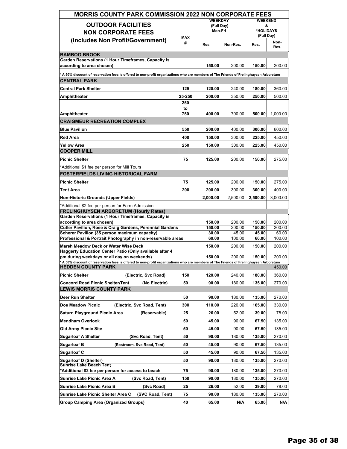| <b>MORRIS COUNTY PARK COMMISSION 2022 NON CORPORATE FEES</b>                                                                                                                        |            |                              |                 |                         |                 |  |
|-------------------------------------------------------------------------------------------------------------------------------------------------------------------------------------|------------|------------------------------|-----------------|-------------------------|-----------------|--|
| <b>OUTDOOR FACILITIES</b>                                                                                                                                                           |            | <b>WEEKDAY</b><br>(Full Day) |                 | <b>WEEKEND</b><br>&     |                 |  |
| <b>NON CORPORATE FEES</b>                                                                                                                                                           | <b>MAX</b> | Mon-Fri                      |                 | *HOLIDAYS<br>(Full Day) |                 |  |
| (includes Non Profit/Government)                                                                                                                                                    | #          | Res.                         | Non-Res.        | Res.                    | Non-<br>Res.    |  |
| <b>BAMBOO BROOK</b>                                                                                                                                                                 |            |                              |                 |                         |                 |  |
| Garden Reservations (1 Hour Timeframes, Capacity is<br>according to area chosen)                                                                                                    |            | 150.00                       | 200.00          | 150.00                  | 200.00          |  |
| * A 50% discount of reservation fees is offered to non-profit organizations who are members of The Friends of Frelinghuysen Arboretum<br><b>CENTRAL PARK</b>                        |            |                              |                 |                         |                 |  |
| <b>Central Park Shelter</b>                                                                                                                                                         | 125        | 120.00                       | 240.00          | 180.00                  | 360.00          |  |
| Amphitheater                                                                                                                                                                        | 25-250     | 200.00                       | 350.00          | 250.00                  | 500.00          |  |
|                                                                                                                                                                                     | 250        |                              |                 |                         |                 |  |
|                                                                                                                                                                                     | to         |                              |                 |                         |                 |  |
| Amphitheater<br><b>CRAIGMEUR RECREATION COMPLEX</b>                                                                                                                                 | 750        | 400.00                       | 700.00          | 500.00                  | 1,000.00        |  |
|                                                                                                                                                                                     |            |                              |                 |                         |                 |  |
| <b>Blue Pavilion</b>                                                                                                                                                                | 550        | 200.00                       | 400.00          | 300.00                  | 600.00          |  |
| Red Area                                                                                                                                                                            | 400        | 150.00                       | 300.00          | 225.00                  | 450.00          |  |
| <b>Yellow Area</b><br><b>COOPER MILL</b>                                                                                                                                            | 250        | 150.00                       | 300.00          | 225.00                  | 450.00          |  |
|                                                                                                                                                                                     |            |                              |                 |                         |                 |  |
| <b>Picnic Shelter</b>                                                                                                                                                               | 75         | 125.00                       | 200.00          | 150.00                  | 275.00          |  |
| *Additional \$1 fee per person for Mill Tours<br><b>FOSTERFIELDS LIVING HISTORICAL FARM</b>                                                                                         |            |                              |                 |                         |                 |  |
| <b>Picnic Shelter</b>                                                                                                                                                               | 75         | 125.00                       | 200.00          | 150.00                  | 275.00          |  |
| <b>Tent Area</b>                                                                                                                                                                    | 200        | 200.00                       | 300.00          | 300.00                  | 400.00          |  |
| Non-Historic Grounds (Upper Fields)                                                                                                                                                 |            | 2,000.00                     | 2,500.00        | 2,500.00                | 3,000.00        |  |
| *Additional \$2 fee per person for Farm Admission                                                                                                                                   |            |                              |                 |                         |                 |  |
| <b>FRELINGHUYSEN ARBORETUM (Hourly Rates)</b><br>Garden Reservations (1 Hour Timeframes, Capacity is                                                                                |            |                              |                 |                         |                 |  |
| according to area chosen)                                                                                                                                                           |            | 150.00                       | 200.00          | 150.00                  | 200.00          |  |
| Cutler Pavilion, Rose & Craig Gardens, Perennial Gardens                                                                                                                            |            | 150.00                       | 200.00          | 150.00                  | 200.00          |  |
| Scherer Pavilion (35 person maximum capacity)<br>Professional & Portrait Photography in non-reservable areas                                                                        |            | 30.00<br>60.00               | 45.00<br>100.00 | 45.00<br>60.00          | 60.00<br>100.00 |  |
| Marsh Meadow Deck or Water Wise Deck                                                                                                                                                |            | 150.00                       | 200.00          | 150.00                  | 200.00          |  |
| <b>Haggerty Education Center Patio (Only available after 4</b>                                                                                                                      |            |                              |                 |                         |                 |  |
| pm during weekdays or all day on weekends)<br>* A 50% discount of reservation fees is offered to non-profit organizations who are members of The Friends of Frelinghuysen Arboretum |            | 150.00                       | 200.00          | 150.00                  | 200.00          |  |
| <b>HEDDEN COUNTY PARK</b>                                                                                                                                                           |            |                              |                 |                         | 450.00          |  |
| <b>Picnic Shelter</b><br>(Electric, Svc Road)                                                                                                                                       | 150        | 120.00                       | 240.00          | 180.00                  | 360.00          |  |
| <b>Concord Road Picnic Shelter/Tent</b><br>(No Electric)<br><b>LEWIS MORRIS COUNTY PARK</b>                                                                                         | 50         | 90.00                        | 180.00          | 135.00                  | 270.00          |  |
| Deer Run Shelter                                                                                                                                                                    | 50         | 90.00                        | 180.00          | 135.00                  | 270.00          |  |
| <b>Doe Meadow Picnic</b><br>(Electric, Svc Road, Tent)                                                                                                                              | 300        | 110.00                       | 220.00          | 165.00                  | 330.00          |  |
| <b>Saturn Playground Picnic Area</b><br>(Reservable)                                                                                                                                | 25         | 26.00                        | 52.00           | 39.00                   | 78.00           |  |
| <b>Mendham Overlook</b>                                                                                                                                                             | 50         | 45.00                        | 90.00           | 67.50                   | 135.00          |  |
| Old Army Picnic Site                                                                                                                                                                | 50         | 45.00                        | 90.00           | 67.50                   | 135.00          |  |
| <b>Sugarloaf A Shelter</b><br>(Svc Road, Tent)                                                                                                                                      | 50         | 90.00                        | 180.00          | 135.00                  | 270.00          |  |
| <b>Sugarloaf B</b><br>(Restroom, Svc Road, Tent)                                                                                                                                    | 50         | 45.00                        | 90.00           | 67.50                   | 135.00          |  |
| Sugarloaf C                                                                                                                                                                         | 50         | 45.00                        | 90.00           | 67.50                   | 135.00          |  |
| <b>Sugarloaf D (Shelter)</b>                                                                                                                                                        | 50         | 90.00                        | 180.00          | 135.00                  | 270.00          |  |
| Sunrise Lake Beach Tent                                                                                                                                                             |            |                              |                 |                         |                 |  |
| *Additional \$2 fee per person for access to beach                                                                                                                                  | 75         | 90.00                        | 180.00          | 135.00                  | 270.00          |  |
| Sunrise Lake Picnic Area A<br>(Svc Road, Tent)                                                                                                                                      | 150        | 90.00                        | 180.00          | 135.00                  | 270.00          |  |
| <b>Sunrise Lake Picnic Area B</b><br>(Svc Road)                                                                                                                                     | 25         | 26.00                        | 52.00           | 39.00                   | 78.00           |  |
| Sunrise Lake Picnic Shelter Area C<br>(SVC Road, Tent)                                                                                                                              | 75         | 90.00                        | 180.00          | 135.00                  | 270.00          |  |
| <b>Group Camping Area (Organized Groups)</b>                                                                                                                                        | 40         | 65.00                        | N/A             | 65.00                   | N/A             |  |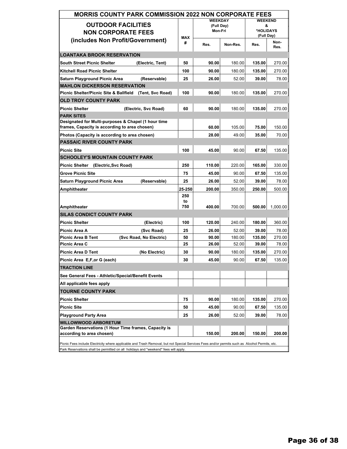| <b>MORRIS COUNTY PARK COMMISSION 2022 NON CORPORATE FEES</b>                                                                                                                                                                          |            |                              |          |                     |              |  |
|---------------------------------------------------------------------------------------------------------------------------------------------------------------------------------------------------------------------------------------|------------|------------------------------|----------|---------------------|--------------|--|
| <b>OUTDOOR FACILITIES</b>                                                                                                                                                                                                             |            | <b>WEEKDAY</b><br>(Full Day) |          | <b>WEEKEND</b><br>& |              |  |
| <b>NON CORPORATE FEES</b>                                                                                                                                                                                                             |            | Mon-Fri                      |          | *HOLIDAYS           |              |  |
| (includes Non Profit/Government)                                                                                                                                                                                                      | <b>MAX</b> |                              |          | (Full Day)          |              |  |
|                                                                                                                                                                                                                                       | #          | Res.                         | Non-Res. | Res.                | Non-<br>Res. |  |
| <b>LOANTAKA BROOK RESERVATION</b>                                                                                                                                                                                                     |            |                              |          |                     |              |  |
| <b>South Street Picnic Shelter</b><br>(Electric, Tent)                                                                                                                                                                                | 50         | 90.00                        | 180.00   | 135.00              | 270.00       |  |
| <b>Kitchell Road Picnic Shelter</b>                                                                                                                                                                                                   | 100        | 90.00                        | 180.00   | 135.00              | 270.00       |  |
| Saturn Playground Picnic Area<br>(Reservable)                                                                                                                                                                                         | 25         | 26.00                        | 52.00    | 39.00               | 78.00        |  |
| <b>MAHLON DICKERSON RESERVATION</b>                                                                                                                                                                                                   |            |                              |          |                     |              |  |
| Picnic Shelter/Picnic Site & Ballfield (Tent, Svc Road)                                                                                                                                                                               | 100        | 90.00                        | 180.00   | 135.00              | 270.00       |  |
| <b>OLD TROY COUNTY PARK</b>                                                                                                                                                                                                           |            |                              |          |                     |              |  |
| <b>Picnic Shelter</b><br>(Electric, Svc Road)                                                                                                                                                                                         | 60         | 90.00                        | 180.00   | 135.00              | 270.00       |  |
| <b>PARK SITES</b>                                                                                                                                                                                                                     |            |                              |          |                     |              |  |
| Designated for Multi-purposes & Chapel (1 hour time                                                                                                                                                                                   |            |                              |          | 75.00               |              |  |
| frames, Capacity is according to area chosen)                                                                                                                                                                                         |            | 60.00                        | 105.00   |                     | 150.00       |  |
| Photos (Capacity is according to area chosen)<br><b>PASSAIC RIVER COUNTY PARK</b>                                                                                                                                                     |            | 28.00                        | 49.00    | 35.00               | 70.00        |  |
|                                                                                                                                                                                                                                       |            |                              |          |                     |              |  |
| <b>Picnic Site</b><br><b>SCHOOLEY'S MOUNTAIN COUNTY PARK</b>                                                                                                                                                                          | 100        | 45.00                        | 90.00    | 67.50               | 135.00       |  |
|                                                                                                                                                                                                                                       |            |                              |          |                     |              |  |
| Picnic Shelter (Electric, Svc Road)                                                                                                                                                                                                   | 250        | 110.00                       | 220.00   | 165.00              | 330.00       |  |
| <b>Grove Picnic Site</b>                                                                                                                                                                                                              | 75         | 45.00                        | 90.00    | 67.50               | 135.00       |  |
| Saturn Playground Picnic Area<br>(Reservable)                                                                                                                                                                                         | 25         | 26.00                        | 52.00    | 39.00               | 78.00        |  |
| Amphitheater                                                                                                                                                                                                                          | 25-250     | 200.00                       | 350.00   | 250.00              | 500.00       |  |
|                                                                                                                                                                                                                                       | 250<br>to  |                              |          |                     |              |  |
| Amphitheater                                                                                                                                                                                                                          | 750        | 400.00                       | 700.00   | 500.00              | 1,000.00     |  |
| <b>SILAS CONDICT COUNTY PARK</b>                                                                                                                                                                                                      |            |                              |          |                     |              |  |
| <b>Picnic Shelter</b><br>(Electric)                                                                                                                                                                                                   | 100        | 120.00                       | 240.00   | 180.00              | 360.00       |  |
| (Svc Road)<br>Picnic Area A                                                                                                                                                                                                           | 25         | 26.00                        | 52.00    | 39.00               | 78.00        |  |
| <b>Picnic Area B Tent</b><br>(Svc Road, No Electric)                                                                                                                                                                                  | 50         | 90.00                        | 180.00   | 135.00              | 270.00       |  |
| Picnic Area C                                                                                                                                                                                                                         | 25         | 26.00                        | 52.00    | 39.00               | 78.00        |  |
| <b>Picnic Area D Tent</b><br>(No Electric)                                                                                                                                                                                            | 30         | 90.00                        | 180.00   | 135.00              | 270.00       |  |
| Picnic Area E,F, or G (each)                                                                                                                                                                                                          | 30         | 45.00                        | 90.00    | 67.50               | 135.00       |  |
| <b>TRACTION LINE</b>                                                                                                                                                                                                                  |            |                              |          |                     |              |  |
| See General Fees - Athletic/Special/Benefit Events                                                                                                                                                                                    |            |                              |          |                     |              |  |
| All applicable fees apply                                                                                                                                                                                                             |            |                              |          |                     |              |  |
| <b>TOURNE COUNTY PARK</b>                                                                                                                                                                                                             |            |                              |          |                     |              |  |
| <b>Picnic Shelter</b>                                                                                                                                                                                                                 | 75         | 90.00                        | 180.00   | 135.00              | 270.00       |  |
| Picnic Site                                                                                                                                                                                                                           | 50         | 45.00                        | 90.00    | 67.50               | 135.00       |  |
| <b>Playground Party Area</b>                                                                                                                                                                                                          | 25         | 26.00                        | 52.00    | 39.00               | 78.00        |  |
| <b>WILLOWWOOD ARBORETUM</b>                                                                                                                                                                                                           |            |                              |          |                     |              |  |
| Garden Reservations (1 Hour Time frames, Capacity is<br>according to area chosen)                                                                                                                                                     |            | 150.00                       | 200.00   | 150.00              | 200.00       |  |
|                                                                                                                                                                                                                                       |            |                              |          |                     |              |  |
| Picnic Fees include Electricity where applicable and Trash Removal, but not Special Services Fees and/or permits such as Alcohol Permits, etc.<br>Park Reservations shall be permitted on all holidays and "weekend" fees will apply. |            |                              |          |                     |              |  |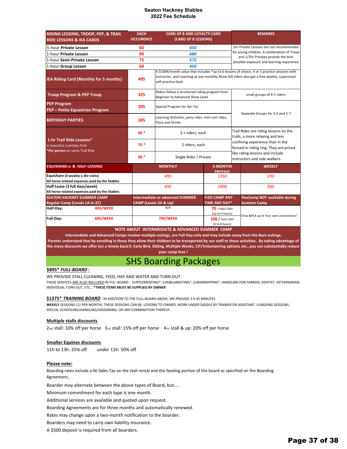### **Seaton Hackney Stables 2022 Fee Schedule**

| RIDING LESSONS, TROOP, PEP, & TRAIL<br><b>RIDE LESSONS &amp; IEA CARDS</b>               | <b>EACH</b><br><b>OCCURENCE</b> | <b>CARD OF 8 AND LOYALTY CARD</b><br>(CARD OF 8 LESSONS)                                                                                                                                                          |                                   |                      | <b>REMARKS</b>                                                                   |  |  |
|------------------------------------------------------------------------------------------|---------------------------------|-------------------------------------------------------------------------------------------------------------------------------------------------------------------------------------------------------------------|-----------------------------------|----------------------|----------------------------------------------------------------------------------|--|--|
| 1/2 hour Private Lesson                                                                  | 60                              | 450                                                                                                                                                                                                               |                                   |                      | 1hr Private Lessons are not recommended                                          |  |  |
| 1-hour Private Lesson                                                                    | 90                              | 680                                                                                                                                                                                                               |                                   |                      | for young children. A combination of Troop                                       |  |  |
| 1-hour Semi-Private Lesson                                                               | 75                              | 575                                                                                                                                                                                                               |                                   |                      | and 1/2hr Privates provide the best<br>possible exposure and learning experience |  |  |
| 1-hour Group Lesson                                                                      | 60                              | 450                                                                                                                                                                                                               |                                   |                      |                                                                                  |  |  |
| IEA Riding Card (Monthly for 5 months)                                                   | 495                             | A \$1004/month value that includes *up to 6 lessons of choice, 4 or 5 practice sessions with<br>Instructor, and coaching at one monthly Show IEA riders also get a free weekly, supervised<br>self-practice hack. |                                   |                      |                                                                                  |  |  |
| <b>Troop Program &amp; PEP Troop</b>                                                     | 325                             | Riders follow a structured riding program from<br>Beginner to Advanced Show Level                                                                                                                                 |                                   |                      | small groups of 4-5 riders                                                       |  |  |
| <b>PEP Program</b><br>PEP - Petite Equestrian Program                                    | 295                             | Special Program for 3yr-7yr                                                                                                                                                                                       |                                   |                      |                                                                                  |  |  |
| <b>BIRTHDAY PARTIES</b>                                                                  | 585                             | Learning Activities, pony rides, mini cart rides,<br>Pizza and Drinks                                                                                                                                             | Separate Groups for 3-5 and 5-7   |                      |                                                                                  |  |  |
|                                                                                          | $60*$                           | 3 + riders, each                                                                                                                                                                                                  |                                   |                      | Trail Rides are riding lessons on the<br>trails, a more relaxing and less        |  |  |
| 1-hr Trail Ride Lessons*<br>in beautiful Loantaka Park<br>*Per person on same Trail Ride | $75*$                           | 2 riders, each                                                                                                                                                                                                    |                                   |                      | confining experience than in the<br>fenced-in riding ring. They are priced       |  |  |
|                                                                                          | $90*$                           | Single Rider / Private                                                                                                                                                                                            |                                   |                      | like riding lessons and include<br>instructors and side-walkers.                 |  |  |
| <b>EQUISHARETM &amp; HALF-LEASING</b>                                                    |                                 | <b>MONTHLY</b>                                                                                                                                                                                                    | <b>3-MONTHS</b><br><b>PRFPAIN</b> |                      | <b>WEEKLY</b>                                                                    |  |  |
| Equishare (3 weekly x 3hr visits)<br>All horse-related expenses paid by the Stables      |                                 | 495                                                                                                                                                                                                               | 1350                              |                      | 200                                                                              |  |  |
| Half-Lease (3 full days/week)<br>All horse-related expenses paid by the Stables          |                                 | 695                                                                                                                                                                                                               | 1900                              |                      | 300                                                                              |  |  |
| <b>SEATON HACKNEY SUMMER CAMP</b>                                                        |                                 | <b>Intermediate or advanced SUMMER</b>                                                                                                                                                                            |                                   | <b>FLEX CAMP ANY</b> | <b>FlexCamp NOT available during</b>                                             |  |  |
| <b>Regular Camp (Levels 1A to 2C)</b>                                                    | CAMP (Levels 3A & Up)           |                                                                                                                                                                                                                   | <b>TIME ANY DAY*</b>              |                      | <b>Summer Camp</b>                                                               |  |  |
| <b>495/WEEK</b><br>Half-Day:                                                             |                                 | N/A                                                                                                                                                                                                               | 70 / HALF-DAY                     |                      |                                                                                  |  |  |
| 695/WEEK<br>Full-Day:                                                                    |                                 | (up to 4 hours)<br><b>795/WEEK</b><br><b>106 / FULL DAY</b><br>(4 to 8 hours)                                                                                                                                     |                                   |                      | Drop &Pick up at Your own convenience!                                           |  |  |

**NOTE ABOUT INTERMEDIATE & ADVANCED SUMMER CAMP**

Intermediate and Advanced Camps involve multiple outings, are Full-Day only and may include away from the Barn outings. Parents understand that by enrolling in these they allow their children to be transported by our staff to these activities.. By taking advantage of the many discounts we offer (on a timely basis!): Early Bird, Sibling, Multiple Weeks, CIT/Volunteering options, etc...you can substantially reduce **your camp fees !**

### SHS Boarding Packages

### **\$895\*** *FULL‐BOARD* **:**

WE PROVIDE STALL CLEANING, FEED, HAY AND WATER AND TURN‐OUT.

THESE SERVICES ARE ALSO INCLUDED IN FUL‐ BOARD : SUPPLEMENTING\*, (UN)BLANKETING\*, (UN)WRAPPING\*, HANDLING FOR FARRIER, DENTIST, VETERINARIAN, INDIVIDUAL TURN‐OUT, ETC… **\*THESE ITEMS MUST BE SUPPLIED BY OWNER**

### **\$1375\*** *TRAINING BOARD* : IN ADDITION TO THE FULL‐BOARD ABOVE, WE PROVIDE 3 X 45 MINUTES

**WEEKLY** SESSIONS (12 PER MONTH). THESE SESSIONS CAN BE: LESSONS TO OWNER, WORK UNDER SADDLE BY TRAINER OR ASSISTANT, LUNGEING SESSIONS, SPECIAL SCHOOLING/HANDLING/GROOMING, OR ANY COMBINATION THEREOF.

### **Multiple stalls discounts**

2nd stall: 10% off per horse 3rd stall: 15% off per horse 4th stall & up: 20% off per horse

### **Smaller Equines discounts**

11h to 13h: 25% off under 11h: 50% off

### **Please note:**

Boarding rates include a NJ Sales Tax on the stall rental and the feeding portion of the board as specified on the Boarding Agreement**.**

Boarder may alternate between the above types of Board, but....

Minimum commitment for each type is one month.

Additional services are available and quoted upon request.

Boarding Agreements are for three months and automatically renewed.

Rates may change upon a two‐month notification to the boarder.

Boarders may need to carry own liability insurance.

A \$500 deposit is required from all boarders.